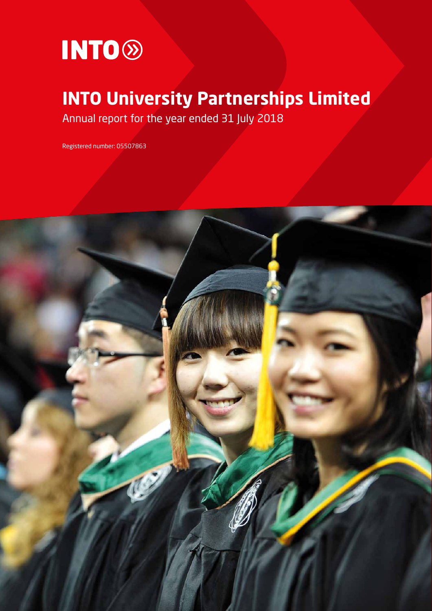

# **INTO University Partnerships Limited**

Annual report for the year ended 31 July 2018

Registered number: 05507863

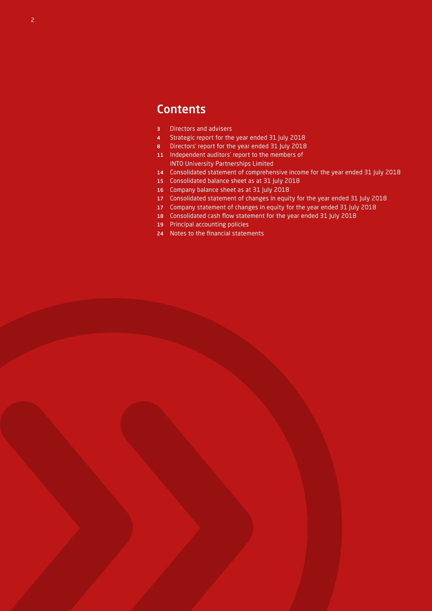### **Contents**

- Directors and advisers
- Strategic report for the year ended 31 July 2018
- Directors' report for the year ended 31 July 2018
- Independent auditors' report to the members of INTO University Partnerships Limited
- Consolidated statement of comprehensive income for the year ended 31 July 2018
- Consolidated balance sheet as at 31 July 2018
- Company balance sheet as at 31 July 2018
- Consolidated statement of changes in equity for the year ended 31 July 2018
- Company statement of changes in equity for the year ended 31 July 2018
- Consolidated cash flow statement for the year ended 31 July 2018
- Principal accounting policies
- Notes to the financial statements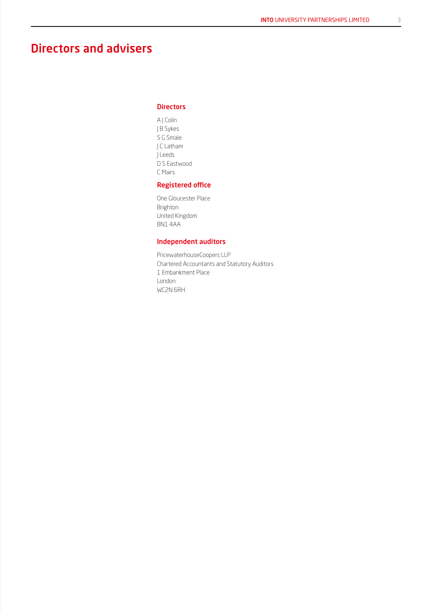### Directors and advisers

#### **Directors**

A J Colin J B Sykes S G Smale J C Latham J Leeds D S Eastwood C Mairs

#### Registered office

One Gloucester Place Brighton United Kingdom BN1 4AA

#### Independent auditors

PricewaterhouseCoopers LLP Chartered Accountants and Statutory Auditors 1 Embankment Place London WC2N 6RH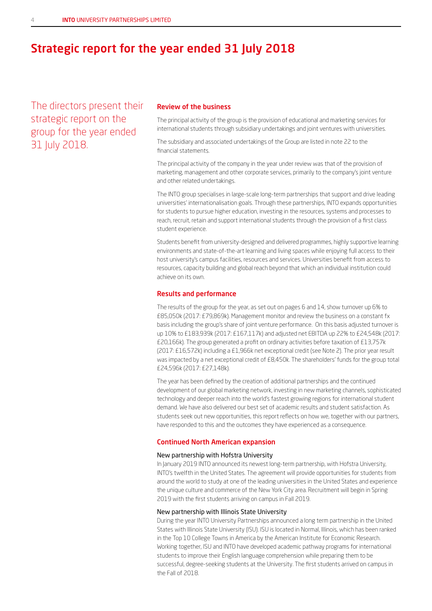### Strategic report for the year ended 31 July 2018

The directors present their strategic report on the group for the year ended 31 July 2018.

#### Review of the business

The principal activity of the group is the provision of educational and marketing services for international students through subsidiary undertakings and joint ventures with universities.

The subsidiary and associated undertakings of the Group are listed in note 22 to the financial statements.

The principal activity of the company in the year under review was that of the provision of marketing, management and other corporate services, primarily to the company's joint venture and other related undertakings.

The INTO group specialises in large-scale long-term partnerships that support and drive leading universities' internationalisation goals. Through these partnerships, INTO expands opportunities for students to pursue higher education, investing in the resources, systems and processes to reach, recruit, retain and support international students through the provision of a first class student experience.

Students benefit from university-designed and delivered programmes, highly supportive learning environments and state-of-the-art learning and living spaces while enjoying full access to their host university's campus facilities, resources and services. Universities benefit from access to resources, capacity building and global reach beyond that which an individual institution could achieve on its own.

#### Results and performance

The results of the group for the year, as set out on pages 6 and 14, show turnover up 6% to £85,050k (2017: £79,869k). Management monitor and review the business on a constant fx basis including the group's share of joint venture performance. On this basis adjusted turnover is up 10% to £183,939k (2017: £167,117k) and adjusted net EBITDA up 22% to £24,548k (2017: £20,166k). The group generated a profit on ordinary activities before taxation of £13,757k (2017: £16,572k) including a £1,966k net exceptional credit (see Note 2). The prior year result was impacted by a net exceptional credit of £8,450k. The shareholders' funds for the group total £24,596k (2017: £27,148k).

The year has been defined by the creation of additional partnerships and the continued development of our global marketing network, investing in new marketing channels, sophisticated technology and deeper reach into the world's fastest growing regions for international student demand. We have also delivered our best set of academic results and student satisfaction. As students seek out new opportunities, this report reflects on how we, together with our partners, have responded to this and the outcomes they have experienced as a consequence.

#### Continued North American expansion

#### New partnership with Hofstra University

In January 2019 INTO announced its newest long-term partnership, with Hofstra University, INTO's twelfth in the United States. The agreement will provide opportunities for students from around the world to study at one of the leading universities in the United States and experience the unique culture and commerce of the New York City area. Recruitment will begin in Spring 2019 with the first students arriving on campus in Fall 2019.

#### New partnership with Illinois State University

During the year INTO University Partnerships announced a long term partnership in the United States with Illinois State University (ISU). ISU is located in Normal, Illinois, which has been ranked in the Top 10 College Towns in America by the American Institute for Economic Research. Working together, ISU and INTO have developed academic pathway programs for international students to improve their English language comprehension while preparing them to be successful, degree-seeking students at the University. The first students arrived on campus in the Fall of 2018.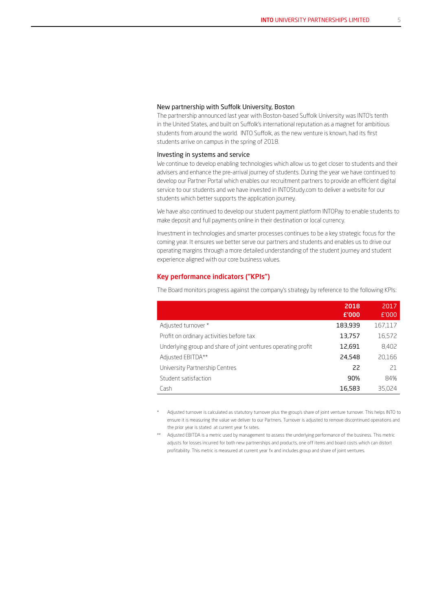#### New partnership with Suffolk University, Boston

The partnership announced last year with Boston-based Suffolk University was INTO's tenth in the United States, and built on Suffolk's international reputation as a magnet for ambitious students from around the world. INTO Suffolk, as the new venture is known, had its first students arrive on campus in the spring of 2018.

#### Investing in systems and service

We continue to develop enabling technologies which allow us to get closer to students and their advisers and enhance the pre-arrival journey of students. During the year we have continued to develop our Partner Portal which enables our recruitment partners to provide an efficient digital service to our students and we have invested in INTOStudy.com to deliver a website for our students which better supports the application journey.

We have also continued to develop our student payment platform INTOPay to enable students to make deposit and full payments online in their destination or local currency.

Investment in technologies and smarter processes continues to be a key strategic focus for the coming year. It ensures we better serve our partners and students and enables us to drive our operating margins through a more detailed understanding of the student journey and student experience aligned with our core business values.

#### Key performance indicators ("KPIs")

The Board monitors progress against the company's strategy by reference to the following KPIs:

|                                                               | 2018<br>£'000 | 2017<br>£'000 |
|---------------------------------------------------------------|---------------|---------------|
| Adjusted turnover *                                           | 183,939       | 167,117       |
| Profit on ordinary activities before tax                      | 13,757        | 16,572        |
| Underlying group and share of joint ventures operating profit | 12,691        | 8,402         |
| Adjusted EBITDA**                                             | 24,548        | 20,166        |
| University Partnership Centres                                | 22            | 21            |
| Student satisfaction                                          | 90%           | 84%           |
| Cash                                                          | 16,583        | 35.024        |

Adjusted turnover is calculated as statutory turnover plus the group's share of joint venture turnover. This helps INTO to ensure it is measuring the value we deliver to our Partners. Turnover is adjusted to remove discontinued operations and the prior year is stated at current year fx rates.

\*\* Adjusted EBITDA is a metric used by management to assess the underlying performance of the business. This metric adjusts for losses incurred for both new partnerships and products, one off items and board costs which can distort profitability. This metric is measured at current year fx and includes group and share of joint ventures.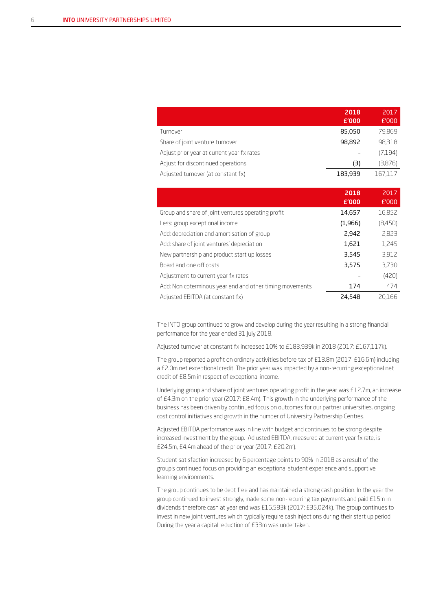|                                            | 2018<br>£'000 | 2017<br>E'000 |
|--------------------------------------------|---------------|---------------|
| Turnover                                   | 85,050        | 79,869        |
| Share of joint venture turnover            | 98,892        | 98,318        |
| Adjust prior year at current year fx rates |               | (7,194)       |
| Adjust for discontinued operations         | (3)           | (3,876)       |
| Adjusted turnover (at constant fx)         | 183,939       | 167.117       |

|                                                          | 2018<br>£'000 | 2017<br>£'000 |
|----------------------------------------------------------|---------------|---------------|
| Group and share of joint ventures operating profit       | 14,657        | 16,852        |
| Less: group exceptional income                           | (1,966)       | (8,450)       |
| Add: depreciation and amortisation of group              | 2,942         | 2.823         |
| Add: share of joint ventures' depreciation               | 1,621         | 1,245         |
| New partnership and product start up losses              | 3,545         | 3,912         |
| Board and one off costs                                  | 3,575         | 3,730         |
| Adjustment to current year fx rates                      |               | (420)         |
| Add: Non coterminous year end and other timing movements | 174           | 474           |
| Adjusted EBITDA (at constant fx)                         | 24,548        | 20.166        |

The INTO group continued to grow and develop during the year resulting in a strong financial performance for the year ended 31 July 2018.

Adjusted turnover at constant fx increased 10% to £183,939k in 2018 (2017: £167,117k).

The group reported a profit on ordinary activities before tax of £13.8m (2017: £16.6m) including a £2.0m net exceptional credit. The prior year was impacted by a non-recurring exceptional net credit of £8.5m in respect of exceptional income.

Underlying group and share of joint ventures operating profit in the year was £12.7m, an increase of £4.3m on the prior year (2017: £8.4m). This growth in the underlying performance of the business has been driven by continued focus on outcomes for our partner universities, ongoing cost control initiatives and growth in the number of University Partnership Centres.

Adjusted EBITDA performance was in line with budget and continues to be strong despite increased investment by the group. Adjusted EBITDA, measured at current year fx rate, is £24.5m, £4.4m ahead of the prior year (2017: £20.2m).

Student satisfaction increased by 6 percentage points to 90% in 2018 as a result of the group's continued focus on providing an exceptional student experience and supportive learning environments.

The group continues to be debt free and has maintained a strong cash position. In the year the group continued to invest strongly, made some non-recurring tax payments and paid £15m in dividends therefore cash at year end was £16,583k (2017: £35,024k). The group continues to invest in new joint ventures which typically require cash injections during their start up period. During the year a capital reduction of £33m was undertaken.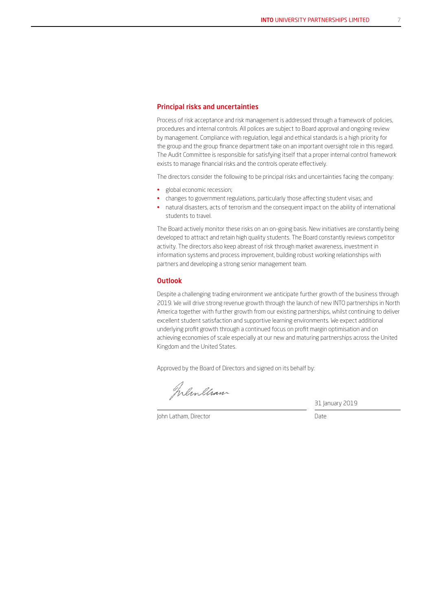#### Principal risks and uncertainties

Process of risk acceptance and risk management is addressed through a framework of policies, procedures and internal controls. All polices are subject to Board approval and ongoing review by management. Compliance with regulation, legal and ethical standards is a high priority for the group and the group finance department take on an important oversight role in this regard. The Audit Committee is responsible for satisfying itself that a proper internal control framework exists to manage financial risks and the controls operate effectively.

The directors consider the following to be principal risks and uncertainties facing the company:

- global economic recession;
- changes to government regulations, particularly those affecting student visas; and
- natural disasters, acts of terrorism and the consequent impact on the ability of international students to travel.

The Board actively monitor these risks on an on-going basis. New initiatives are constantly being developed to attract and retain high quality students. The Board constantly reviews competitor activity. The directors also keep abreast of risk through market awareness, investment in information systems and process improvement, building robust working relationships with partners and developing a strong senior management team.

#### **Outlook**

Despite a challenging trading environment we anticipate further growth of the business through 2019. We will drive strong revenue growth through the launch of new INTO partnerships in North America together with further growth from our existing partnerships, whilst continuing to deliver excellent student satisfaction and supportive learning environments. We expect additional underlying profit growth through a continued focus on profit margin optimisation and on achieving economies of scale especially at our new and maturing partnerships across the United Kingdom and the United States.

Approved by the Board of Directors and signed on its behalf by:

Inlinelian

31 January 2019

John Latham, Director Date Date Date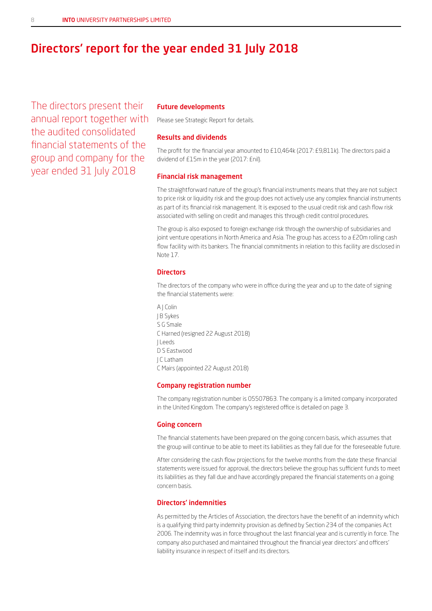### Directors' report for the year ended 31 July 2018

The directors present their annual report together with the audited consolidated financial statements of the group and company for the year ended 31 July 2018

#### Future developments

Please see Strategic Report for details.

#### Results and dividends

The profit for the financial year amounted to £10,464k (2017: £9,811k). The directors paid a dividend of £15m in the year (2017: £nil).

#### Financial risk management

The straightforward nature of the group's financial instruments means that they are not subject to price risk or liquidity risk and the group does not actively use any complex financial instruments as part of its financial risk management. It is exposed to the usual credit risk and cash flow risk associated with selling on credit and manages this through credit control procedures.

The group is also exposed to foreign exchange risk through the ownership of subsidiaries and joint venture operations in North America and Asia. The group has access to a £20m rolling cash flow facility with its bankers. The financial commitments in relation to this facility are disclosed in Note 17.

#### **Directors**

The directors of the company who were in office during the year and up to the date of signing the financial statements were:

A | Colin J B Sykes S G Smale C Harned (resigned 22 August 2018) J Leeds D S Eastwood J C Latham C Mairs (appointed 22 August 2018)

#### Company registration number

The company registration number is 05507863. The company is a limited company incorporated in the United Kingdom. The company's registered office is detailed on page 3.

#### Going concern

The financial statements have been prepared on the going concern basis, which assumes that the group will continue to be able to meet its liabilities as they fall due for the foreseeable future.

After considering the cash flow projections for the twelve months from the date these financial statements were issued for approval, the directors believe the group has sufficient funds to meet its liabilities as they fall due and have accordingly prepared the financial statements on a going concern basis.

#### Directors' indemnities

As permitted by the Articles of Association, the directors have the benefit of an indemnity which is a qualifying third party indemnity provision as defined by Section 234 of the companies Act 2006. The indemnity was in force throughout the last financial year and is currently in force. The company also purchased and maintained throughout the financial year directors' and officers' liability insurance in respect of itself and its directors.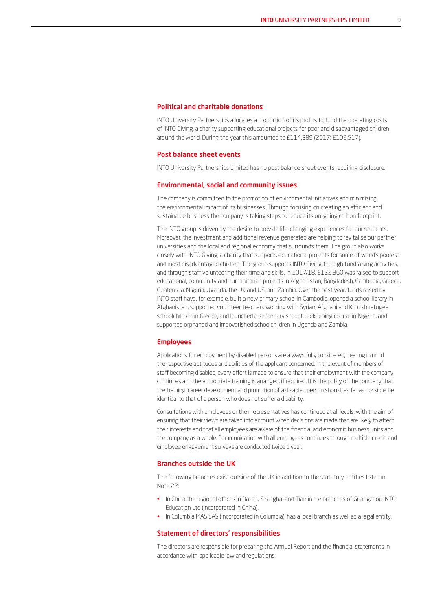#### Political and charitable donations

INTO University Partnerships allocates a proportion of its profits to fund the operating costs of INTO Giving, a charity supporting educational projects for poor and disadvantaged children around the world. During the year this amounted to £114,389 (2017: £102,517).

#### Post balance sheet events

INTO University Partnerships Limited has no post balance sheet events requiring disclosure.

#### Environmental, social and community issues

The company is committed to the promotion of environmental initiatives and minimising the environmental impact of its businesses. Through focusing on creating an efficient and sustainable business the company is taking steps to reduce its on-going carbon footprint.

The INTO group is driven by the desire to provide life-changing experiences for our students. Moreover, the investment and additional revenue generated are helping to revitalise our partner universities and the local and regional economy that surrounds them. The group also works closely with INTO Giving, a charity that supports educational projects for some of world's poorest and most disadvantaged children. The group supports INTO Giving through fundraising activities, and through staff volunteering their time and skills. In 2017/18, £122,360 was raised to support educational, community and humanitarian projects in Afghanistan, Bangladesh, Cambodia, Greece, Guatemala, Nigeria, Uganda, the UK and US, and Zambia. Over the past year, funds raised by INTO staff have, for example, built a new primary school in Cambodia, opened a school library in Afghanistan, supported volunteer teachers working with Syrian, Afghani and Kurdish refugee schoolchildren in Greece, and launched a secondary school beekeeping course in Nigeria, and supported orphaned and impoverished schoolchildren in Uganda and Zambia.

#### Employees

Applications for employment by disabled persons are always fully considered, bearing in mind the respective aptitudes and abilities of the applicant concerned. In the event of members of staff becoming disabled, every effort is made to ensure that their employment with the company continues and the appropriate training is arranged, if required. It is the policy of the company that the training, career development and promotion of a disabled person should, as far as possible, be identical to that of a person who does not suffer a disability.

Consultations with employees or their representatives has continued at all levels, with the aim of ensuring that their views are taken into account when decisions are made that are likely to affect their interests and that all employees are aware of the financial and economic business units and the company as a whole. Communication with all employees continues through multiple media and employee engagement surveys are conducted twice a year.

#### Branches outside the UK

The following branches exist outside of the UK in addition to the statutory entities listed in Note 22:

- In China the regional offices in Dalian, Shanghai and Tianjin are branches of Guangzhou INTO Education Ltd (incorporated in China).
- In Columbia MAS SAS (incorporated in Columbia), has a local branch as well as a legal entity.

#### Statement of directors' responsibilities

The directors are responsible for preparing the Annual Report and the financial statements in accordance with applicable law and regulations.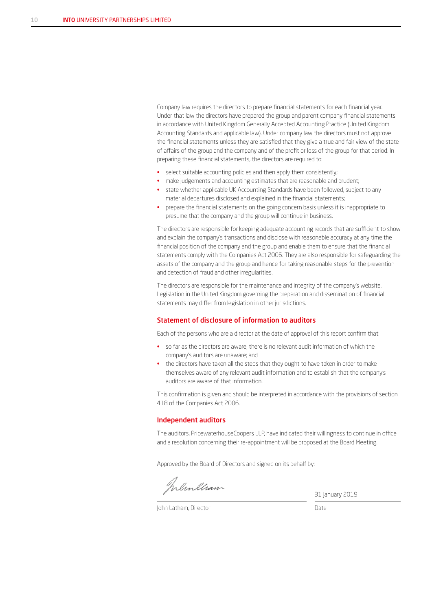Company law requires the directors to prepare financial statements for each financial year. Under that law the directors have prepared the group and parent company financial statements in accordance with United Kingdom Generally Accepted Accounting Practice (United Kingdom Accounting Standards and applicable law). Under company law the directors must not approve the financial statements unless they are satisfied that they give a true and fair view of the state of affairs of the group and the company and of the profit or loss of the group for that period. In preparing these financial statements, the directors are required to:

- select suitable accounting policies and then apply them consistently;
- make judgements and accounting estimates that are reasonable and prudent;
- state whether applicable UK Accounting Standards have been followed, subject to any material departures disclosed and explained in the financial statements;
- prepare the financial statements on the going concern basis unless it is inappropriate to presume that the company and the group will continue in business.

The directors are responsible for keeping adequate accounting records that are sufficient to show and explain the company's transactions and disclose with reasonable accuracy at any time the financial position of the company and the group and enable them to ensure that the financial statements comply with the Companies Act 2006. They are also responsible for safeguarding the assets of the company and the group and hence for taking reasonable steps for the prevention and detection of fraud and other irregularities.

The directors are responsible for the maintenance and integrity of the company's website. Legislation in the United Kingdom governing the preparation and dissemination of financial statements may differ from legislation in other jurisdictions.

#### Statement of disclosure of information to auditors

Each of the persons who are a director at the date of approval of this report confirm that:

- so far as the directors are aware, there is no relevant audit information of which the company's auditors are unaware; and
- the directors have taken all the steps that they ought to have taken in order to make themselves aware of any relevant audit information and to establish that the company's auditors are aware of that information.

This confirmation is given and should be interpreted in accordance with the provisions of section 418 of the Companies Act 2006.

#### Independent auditors

The auditors, PricewaterhouseCoopers LLP, have indicated their willingness to continue in office and a resolution concerning their re-appointment will be proposed at the Board Meeting.

Approved by the Board of Directors and signed on its behalf by:

Inlinelian

31 January 2019

John Latham, Director **Date**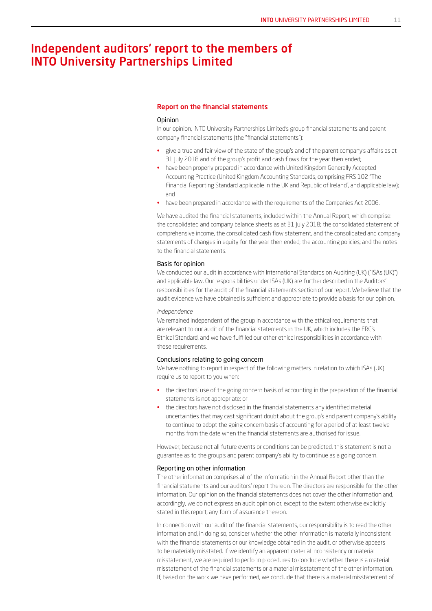### Independent auditors' report to the members of INTO University Partnerships Limited

#### Report on the financial statements

#### **Opinion**

In our opinion, INTO University Partnerships Limited's group financial statements and parent company financial statements (the "financial statements"):

- give a true and fair view of the state of the group's and of the parent company's affairs as at 31 July 2018 and of the group's profit and cash flows for the year then ended;
- have been properly prepared in accordance with United Kingdom Generally Accepted Accounting Practice (United Kingdom Accounting Standards, comprising FRS 102 "The Financial Reporting Standard applicable in the UK and Republic of Ireland", and applicable law); and
- have been prepared in accordance with the requirements of the Companies Act 2006.

We have audited the financial statements, included within the Annual Report, which comprise: the consolidated and company balance sheets as at 31 July 2018; the consolidated statement of comprehensive income, the consolidated cash flow statement, and the consolidated and company statements of changes in equity for the year then ended; the accounting policies; and the notes to the financial statements.

#### Basis for opinion

We conducted our audit in accordance with International Standards on Auditing (UK) ("ISAs (UK)") and applicable law. Our responsibilities under ISAs (UK) are further described in the Auditors' responsibilities for the audit of the financial statements section of our report. We believe that the audit evidence we have obtained is sufficient and appropriate to provide a basis for our opinion.

#### *Independence*

We remained independent of the group in accordance with the ethical requirements that are relevant to our audit of the financial statements in the UK, which includes the FRC's Ethical Standard, and we have fulfilled our other ethical responsibilities in accordance with these requirements.

#### Conclusions relating to going concern

We have nothing to report in respect of the following matters in relation to which ISAs (UK) require us to report to you when:

- the directors' use of the going concern basis of accounting in the preparation of the financial statements is not appropriate; or
- the directors have not disclosed in the financial statements any identified material uncertainties that may cast significant doubt about the group's and parent company's ability to continue to adopt the going concern basis of accounting for a period of at least twelve months from the date when the financial statements are authorised for issue.

However, because not all future events or conditions can be predicted, this statement is not a guarantee as to the group's and parent company's ability to continue as a going concern.

#### Reporting on other information

The other information comprises all of the information in the Annual Report other than the financial statements and our auditors' report thereon. The directors are responsible for the other information. Our opinion on the financial statements does not cover the other information and, accordingly, we do not express an audit opinion or, except to the extent otherwise explicitly stated in this report, any form of assurance thereon.

In connection with our audit of the financial statements, our responsibility is to read the other information and, in doing so, consider whether the other information is materially inconsistent with the financial statements or our knowledge obtained in the audit, or otherwise appears to be materially misstated. If we identify an apparent material inconsistency or material misstatement, we are required to perform procedures to conclude whether there is a material misstatement of the financial statements or a material misstatement of the other information. If, based on the work we have performed, we conclude that there is a material misstatement of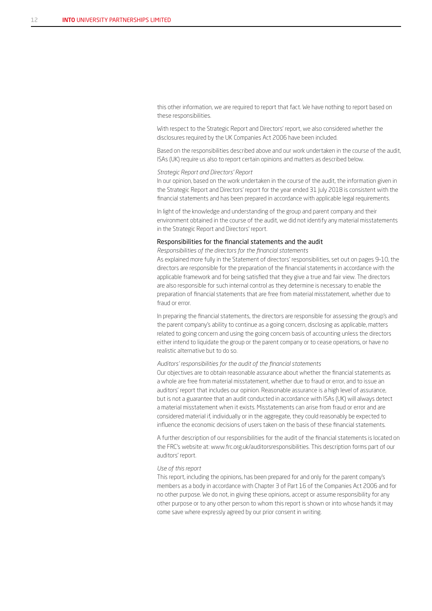this other information, we are required to report that fact. We have nothing to report based on these responsibilities.

With respect to the Strategic Report and Directors' report, we also considered whether the disclosures required by the UK Companies Act 2006 have been included.

Based on the responsibilities described above and our work undertaken in the course of the audit, ISAs (UK) require us also to report certain opinions and matters as described below.

#### *Strategic Report and Directors' Report*

In our opinion, based on the work undertaken in the course of the audit, the information given in the Strategic Report and Directors' report for the year ended 31 July 2018 is consistent with the financial statements and has been prepared in accordance with applicable legal requirements.

In light of the knowledge and understanding of the group and parent company and their environment obtained in the course of the audit, we did not identify any material misstatements in the Strategic Report and Directors' report.

#### Responsibilities for the financial statements and the audit

*Responsibilities of the directors for the financial statements*

As explained more fully in the Statement of directors' responsibilities, set out on pages 9–10, the directors are responsible for the preparation of the financial statements in accordance with the applicable framework and for being satisfied that they give a true and fair view. The directors are also responsible for such internal control as they determine is necessary to enable the preparation of financial statements that are free from material misstatement, whether due to fraud or error.

In preparing the financial statements, the directors are responsible for assessing the group's and the parent company's ability to continue as a going concern, disclosing as applicable, matters related to going concern and using the going concern basis of accounting unless the directors either intend to liquidate the group or the parent company or to cease operations, or have no realistic alternative but to do so.

#### *Auditors' responsibilities for the audit of the financial statements*

Our objectives are to obtain reasonable assurance about whether the financial statements as a whole are free from material misstatement, whether due to fraud or error, and to issue an auditors' report that includes our opinion. Reasonable assurance is a high level of assurance, but is not a guarantee that an audit conducted in accordance with ISAs (UK) will always detect a material misstatement when it exists. Misstatements can arise from fraud or error and are considered material if, individually or in the aggregate, they could reasonably be expected to influence the economic decisions of users taken on the basis of these financial statements.

A further description of our responsibilities for the audit of the financial statements is located on the FRC's website at: www.frc.org.uk/auditorsresponsibilities. This description forms part of our auditors' report.

#### *Use of this report*

This report, including the opinions, has been prepared for and only for the parent company's members as a body in accordance with Chapter 3 of Part 16 of the Companies Act 2006 and for no other purpose. We do not, in giving these opinions, accept or assume responsibility for any other purpose or to any other person to whom this report is shown or into whose hands it may come save where expressly agreed by our prior consent in writing.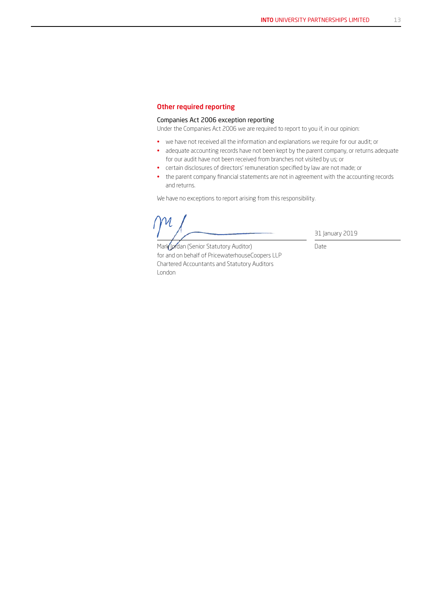#### Other required reporting

#### Companies Act 2006 exception reporting

Under the Companies Act 2006 we are required to report to you if, in our opinion:

- we have not received all the information and explanations we require for our audit; or
- adequate accounting records have not been kept by the parent company, or returns adequate for our audit have not been received from branches not visited by us; or
- certain disclosures of directors' remuneration specified by law are not made; or
- the parent company financial statements are not in agreement with the accounting records and returns.

We have no exceptions to report arising from this responsibility.

31 January 2019

Date

Mark Jordan (Senior Statutory Auditor) for and on behalf of PricewaterhouseCoopers LLP Chartered Accountants and Statutory Auditors London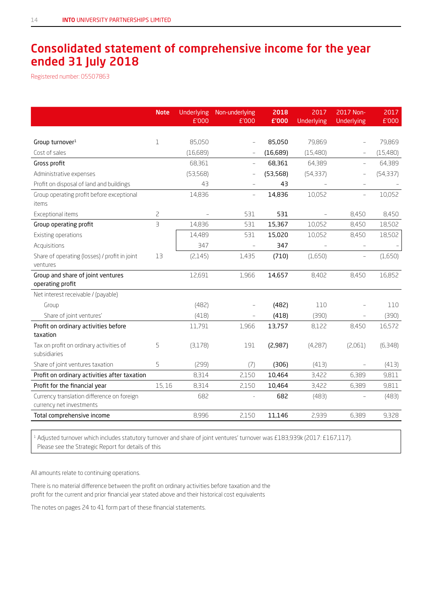### Consolidated statement of comprehensive income for the year ended 31 July 2018

Registered number: 05507863

|                                                                        | <b>Note</b>             | <b>Underlying</b><br>£'000 | Non-underlying<br>£'000 | 2018<br>£'000 | 2017<br>Underlying | 2017 Non-<br>Underlying  | 2017<br>£'000 |
|------------------------------------------------------------------------|-------------------------|----------------------------|-------------------------|---------------|--------------------|--------------------------|---------------|
|                                                                        |                         |                            |                         |               |                    |                          |               |
| Group turnover <sup>1</sup>                                            | $\mathbf 1$             | 85,050                     |                         | 85,050        | 79,869             |                          | 79.869        |
| Cost of sales                                                          |                         | (16, 689)                  |                         | (16,689)      | (15,480)           |                          | (15,480)      |
| Gross profit                                                           |                         | 68,361                     |                         | 68,361        | 64,389             |                          | 64,389        |
| Administrative expenses                                                |                         | (53, 568)                  |                         | (53, 568)     | (54, 337)          |                          | (54, 337)     |
| Profit on disposal of land and buildings                               |                         | 43                         |                         | 43            |                    | $\equiv$                 |               |
| Group operating profit before exceptional                              |                         | 14,836                     |                         | 14,836        | 10,052             | $\overline{\phantom{0}}$ | 10,052        |
| items                                                                  |                         |                            |                         |               |                    |                          |               |
| Exceptional items                                                      | $\overline{c}$          |                            | 531                     | 531           | $\equiv$           | 8,450                    | 8,450         |
| Group operating profit                                                 | $\overline{\mathsf{B}}$ | 14,836                     | 531                     | 15,367        | 10,052             | 8,450                    | 18,502        |
| Existing operations                                                    |                         | 14,489                     | 531                     | 15,020        | 10,052             | 8,450                    | 18,502        |
| Acquisitions                                                           |                         | 347                        |                         | 347           |                    |                          |               |
| Share of operating (losses) / profit in joint                          | 13                      | (2,145)                    | 1,435                   | (710)         | (1,650)            | $\overline{\phantom{0}}$ | (1,650)       |
| ventures                                                               |                         |                            |                         |               |                    |                          |               |
| Group and share of joint ventures                                      |                         | 12,691                     | 1,966                   | 14,657        | 8,402              | 8,450                    | 16,852        |
| operating profit                                                       |                         |                            |                         |               |                    |                          |               |
| Net interest receivable / (payable)                                    |                         |                            |                         |               |                    |                          |               |
| Group                                                                  |                         | (482)                      |                         | (482)         | 110                |                          | 110           |
| Share of joint ventures'                                               |                         | (418)                      |                         | (418)         | (390)              |                          | (390)         |
| Profit on ordinary activities before                                   |                         | 11,791                     | 1,966                   | 13,757        | 8,122              | 8,450                    | 16,572        |
| taxation                                                               |                         |                            |                         |               |                    |                          |               |
| Tax on profit on ordinary activities of<br>subsidiaries                | 5                       | (3,178)                    | 191                     | (2,987)       | (4,287)            | (2,061)                  | (6,348)       |
| Share of joint ventures taxation                                       | 5                       | (299)                      | (7)                     | (306)         | (413)              | $\qquad \qquad -$        | (413)         |
| Profit on ordinary activities after taxation                           |                         | 8,314                      | 2,150                   | 10,464        | 3,422              | 6,389                    | 9,811         |
| Profit for the financial year                                          | 15,16                   | 8,314                      | 2,150                   | 10,464        | 3,422              | 6,389                    | 9,811         |
| Currency translation difference on foreign<br>currency net investments |                         | 682                        |                         | 682           | (483)              |                          | (483)         |
| Total comprehensive income                                             |                         | 8,996                      | 2,150                   | 11,146        | 2,939              | 6,389                    | 9,328         |
|                                                                        |                         |                            |                         |               |                    |                          |               |

<sup>1</sup> Adjusted turnover which includes statutory turnover and share of joint ventures' turnover was £183,939k (2017: £167,117). Please see the Strategic Report for details of this

All amounts relate to continuing operations.

There is no material difference between the profit on ordinary activities before taxation and the profit for the current and prior financial year stated above and their historical cost equivalents

The notes on pages 24 to 41 form part of these financial statements.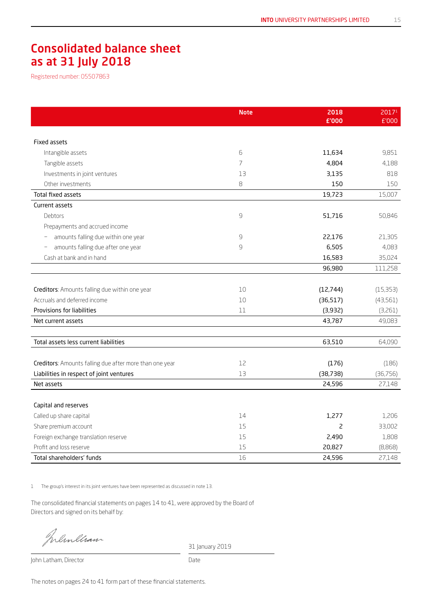### Consolidated balance sheet as at 31 July 2018

Registered number: 05507863

|                                                         | <b>Note</b>    | 2018<br>£'000  | 2017 <sup>1</sup><br>£'000 |
|---------------------------------------------------------|----------------|----------------|----------------------------|
|                                                         |                |                |                            |
| <b>Fixed assets</b>                                     |                |                |                            |
| Intangible assets                                       | 6              | 11,634         | 9,851                      |
| Tangible assets                                         | $\overline{7}$ | 4,804          | 4,188                      |
| Investments in joint ventures                           | 13             | 3,135          | 818                        |
| Other investments                                       | $\mbox{8}$     | 150            | 150                        |
| Total fixed assets                                      |                | 19,723         | 15,007                     |
| Current assets                                          |                |                |                            |
| Debtors                                                 | $\mathsf 9$    | 51,716         | 50,846                     |
| Prepayments and accrued income                          |                |                |                            |
| amounts falling due within one year                     | $\mathcal{G}$  | 22,176         | 21,305                     |
| amounts falling due after one year                      | $\mathsf{G}$   | 6,505          | 4,083                      |
| Cash at bank and in hand                                |                | 16,583         | 35,024                     |
|                                                         |                | 96,980         | 111,258                    |
|                                                         |                |                |                            |
| Creditors: Amounts falling due within one year          | 10             | (12, 744)      | (15,353)                   |
| Accruals and deferred income                            | 10             | (36, 517)      | (43, 561)                  |
| Provisions for liabilities                              | 11             | (3,932)        | (3,261)                    |
| Net current assets                                      |                | 43,787         | 49,083                     |
|                                                         |                |                |                            |
| Total assets less current liabilities                   |                | 63,510         | 64,090                     |
|                                                         |                |                |                            |
| Creditors: Amounts falling due after more than one year | 12             | (176)          | (186)                      |
| Liabilities in respect of joint ventures                | 13             | (38, 738)      | (36, 756)                  |
| Net assets                                              |                | 24,596         | 27,148                     |
|                                                         |                |                |                            |
| Capital and reserves                                    |                |                |                            |
| Called up share capital                                 | 14             | 1,277          | 1,206                      |
| Share premium account                                   | 15             | $\overline{c}$ | 33,002                     |
| Foreign exchange translation reserve                    | 15             | 2,490          | 1,808                      |
| Profit and loss reserve                                 | 15             | 20,827         | (8,868)                    |
| Total shareholders' funds                               | 16             | 24,596         | 27,148                     |

1 The group's interest in its joint ventures have been represented as discussed in note 13.

The consolidated financial statements on pages 14 to 41, were approved by the Board of Directors and signed on its behalf by:

Inlinelian

31 January 2019

John Latham, Director Date

The notes on pages 24 to 41 form part of these financial statements.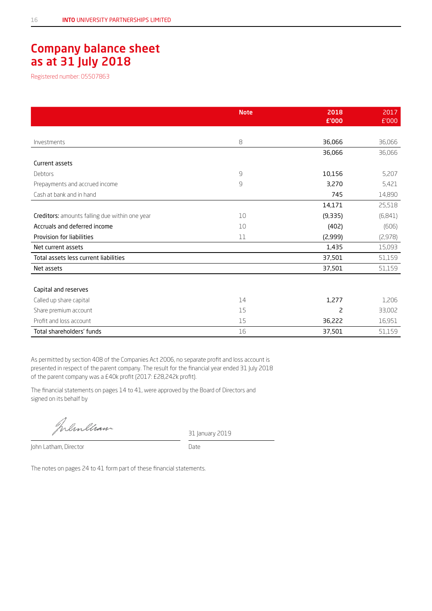### Company balance sheet as at 31 July 2018

Registered number: 05507863

|                                                | <b>Note</b>  | 2018<br>£'000 | 2017<br>£'000 |
|------------------------------------------------|--------------|---------------|---------------|
|                                                |              |               |               |
| Investments                                    | 8            | 36,066        | 36,066        |
|                                                |              | 36,066        | 36,066        |
| Current assets                                 |              |               |               |
| Debtors                                        | $\mathsf{G}$ | 10,156        | 5,207         |
| Prepayments and accrued income                 | 9            | 3,270         | 5,421         |
| Cash at bank and in hand                       |              | 745           | 14,890        |
|                                                |              | 14,171        | 25,518        |
| Creditors: amounts falling due within one year | 10           | (9,335)       | (6,841)       |
| Accruals and deferred income                   | 10           | (402)         | (606)         |
| Provision for liabilities                      | 11           | (2,999)       | (2,978)       |
| Net current assets                             |              | 1,435         | 15,093        |
| Total assets less current liabilities          |              | 37,501        | 51,159        |
| Net assets                                     |              | 37,501        | 51,159        |
|                                                |              |               |               |
| Capital and reserves                           |              |               |               |
| Called up share capital                        | 14           | 1,277         | 1,206         |
| Share premium account                          | 15           | 2             | 33,002        |
| Profit and loss account                        | 15           | 36,222        | 16,951        |
| Total shareholders' funds                      | 16           | 37,501        | 51,159        |

As permitted by section 408 of the Companies Act 2006, no separate profit and loss account is presented in respect of the parent company. The result for the financial year ended 31 July 2018 of the parent company was a £40k profit (2017: £28,242k profit).

The financial statements on pages 14 to 41, were approved by the Board of Directors and signed on its behalf by

Inlinecian

31 January 2019

John Latham, Director Date

The notes on pages 24 to 41 form part of these financial statements.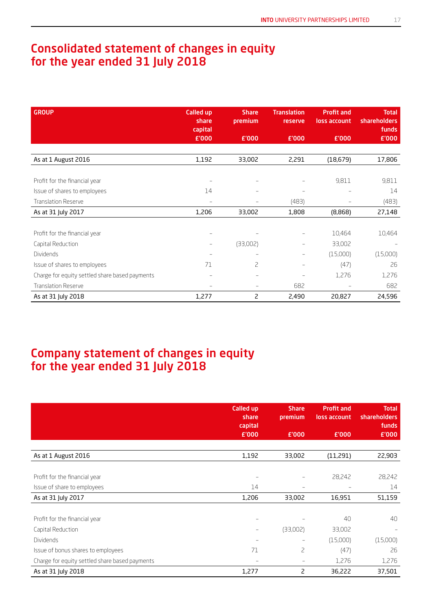### Consolidated statement of changes in equity for the year ended 31 July 2018

| <b>GROUP</b>                                   | <b>Called up</b><br>share<br>capital | <b>Share</b><br>premium | <b>Translation</b><br>reserve | <b>Profit and</b><br>loss account | <b>Total</b><br><b>shareholders</b><br>funds |
|------------------------------------------------|--------------------------------------|-------------------------|-------------------------------|-----------------------------------|----------------------------------------------|
|                                                | £'000                                | £'000                   | £'000                         | £'000                             | £'000                                        |
|                                                |                                      |                         |                               |                                   |                                              |
| As at 1 August 2016                            | 1,192                                | 33,002                  | 2,291                         | (18,679)                          | 17,806                                       |
|                                                |                                      |                         |                               |                                   |                                              |
| Profit for the financial year                  | $\overline{\phantom{m}}$             |                         |                               | 9,811                             | 9,811                                        |
| Issue of shares to employees                   | 14                                   |                         |                               |                                   | 14                                           |
| <b>Translation Reserve</b>                     | $\overline{\phantom{m}}$             |                         | (483)                         |                                   | (483)                                        |
| As at 31 July 2017                             | 1,206                                | 33,002                  | 1,808                         | (8,868)                           | 27,148                                       |
|                                                |                                      |                         |                               |                                   |                                              |
| Profit for the financial year                  | $-$                                  |                         | $\overline{\phantom{0}}$      | 10,464                            | 10,464                                       |
| Capital Reduction                              | $\overline{\phantom{m}}$             | (33,002)                | $\qquad \qquad -$             | 33,002                            |                                              |
| Dividends                                      | $\qquad \qquad -$                    |                         | $\qquad \qquad -$             | (15,000)                          | (15,000)                                     |
| Issue of shares to employees                   | 71                                   | 2                       | $\qquad \qquad -$             | (47)                              | 26                                           |
| Charge for equity settled share based payments | $\qquad \qquad -$                    |                         |                               | 1,276                             | 1,276                                        |
| <b>Translation Reserve</b>                     | $\qquad \qquad -$                    |                         | 682                           |                                   | 682                                          |
| As at 31 July 2018                             | 1,277                                | 2                       | 2,490                         | 20,827                            | 24,596                                       |

### Company statement of changes in equity for the year ended 31 July 2018

|                                                | <b>Called up</b><br>share<br>capital | <b>Share</b><br>premium | <b>Profit and</b><br>loss account | <b>Total</b><br><b>shareholders</b><br>funds |
|------------------------------------------------|--------------------------------------|-------------------------|-----------------------------------|----------------------------------------------|
|                                                | £'000                                | £'000                   | £'000                             | £'000                                        |
|                                                |                                      |                         |                                   |                                              |
| As at 1 August 2016                            | 1,192                                | 33,002                  | (11,291)                          | 22,903                                       |
|                                                |                                      |                         |                                   |                                              |
| Profit for the financial year                  |                                      |                         | 28,242                            | 28,242                                       |
| Issue of share to employees                    | 14                                   | $\qquad \qquad -$       |                                   | 14                                           |
| As at 31 July 2017                             | 1,206                                | 33,002                  | 16,951                            | 51,159                                       |
|                                                |                                      |                         |                                   |                                              |
| Profit for the financial year                  |                                      |                         | 40                                | 40                                           |
| Capital Reduction                              |                                      | (33,002)                | 33,002                            |                                              |
| <b>Dividends</b>                               |                                      | -                       | (15,000)                          | (15,000)                                     |
| Issue of bonus shares to employees             | 71                                   | 2                       | (47)                              | 26                                           |
| Charge for equity settled share based payments |                                      | $\qquad \qquad -$       | 1,276                             | 1,276                                        |
| As at 31 July 2018                             | 1,277                                | 2                       | 36,222                            | 37,501                                       |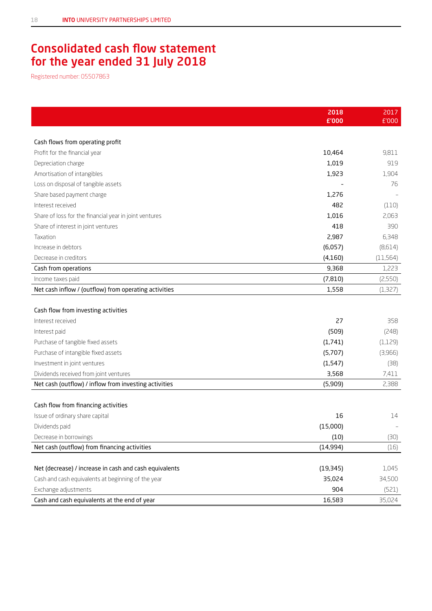### Consolidated cash flow statement for the year ended 31 July 2018

Registered number: 05507863

|                                                        | 2018      | 2017      |
|--------------------------------------------------------|-----------|-----------|
|                                                        | £'000     | £'000     |
|                                                        |           |           |
| Cash flows from operating profit                       |           |           |
| Profit for the financial year                          | 10,464    | 9,811     |
| Depreciation charge                                    | 1,019     | 919       |
| Amortisation of intangibles                            | 1,923     | 1,904     |
| Loss on disposal of tangible assets                    |           | 76        |
| Share based payment charge                             | 1,276     |           |
| Interest received                                      | 482       | (110)     |
| Share of loss for the financial year in joint ventures | 1,016     | 2,063     |
| Share of interest in joint ventures                    | 418       | 390       |
| Taxation                                               | 2,987     | 6,348     |
| Increase in debtors                                    | (6,057)   | (8,614)   |
| Decrease in creditors                                  | (4, 160)  | (11, 564) |
| Cash from operations                                   | 9,368     | 1,223     |
| Income taxes paid                                      | (7, 810)  | (2,550)   |
| Net cash inflow / (outflow) from operating activities  | 1,558     | (1,327)   |
|                                                        |           |           |
| Cash flow from investing activities                    |           |           |
| Interest received                                      | 27        | 358       |
| Interest paid                                          | (509)     | (248)     |
| Purchase of tangible fixed assets                      | (1,741)   | (1, 129)  |
| Purchase of intangible fixed assets                    | (5,707)   | (3,966)   |
| Investment in joint ventures                           | (1, 547)  | (38)      |
| Dividends received from joint ventures                 | 3,568     | 7,411     |
| Net cash (outflow) / inflow from investing activities  | (5,909)   | 2,388     |
|                                                        |           |           |
| Cash flow from financing activities                    |           |           |
| Issue of ordinary share capital                        | 16        | 14        |
| Dividends paid                                         | (15,000)  |           |
| Decrease in borrowings                                 | (10)      | (30)      |
| Net cash (outflow) from financing activities           | (14, 994) | (16)      |
|                                                        |           |           |
| Net (decrease) / increase in cash and cash equivalents | (19, 345) | 1,045     |
| Cash and cash equivalents at beginning of the year     | 35,024    | 34,500    |
| Exchange adjustments                                   | 904       | (521)     |
| Cash and cash equivalents at the end of year           | 16,583    | 35,024    |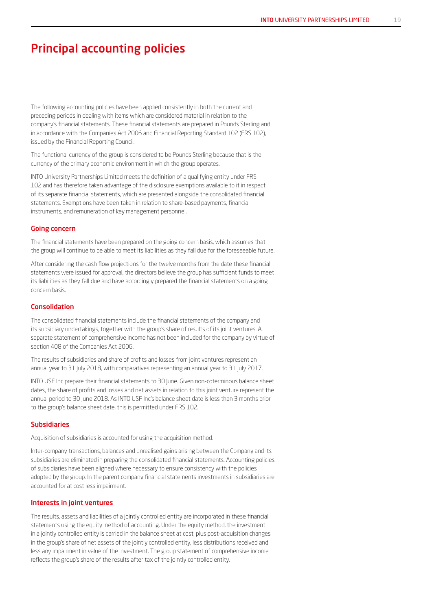### Principal accounting policies

The following accounting policies have been applied consistently in both the current and preceding periods in dealing with items which are considered material in relation to the company's financial statements. These financial statements are prepared in Pounds Sterling and in accordance with the Companies Act 2006 and Financial Reporting Standard 102 (FRS 102), issued by the Financial Reporting Council.

The functional currency of the group is considered to be Pounds Sterling because that is the currency of the primary economic environment in which the group operates.

INTO University Partnerships Limited meets the definition of a qualifying entity under FRS 102 and has therefore taken advantage of the disclosure exemptions available to it in respect of its separate financial statements, which are presented alongside the consolidated financial statements. Exemptions have been taken in relation to share-based payments, financial instruments, and remuneration of key management personnel.

#### Going concern

The financial statements have been prepared on the going concern basis, which assumes that the group will continue to be able to meet its liabilities as they fall due for the foreseeable future.

After considering the cash flow projections for the twelve months from the date these financial statements were issued for approval, the directors believe the group has sufficient funds to meet its liabilities as they fall due and have accordingly prepared the financial statements on a going concern basis.

#### Consolidation

The consolidated financial statements include the financial statements of the company and its subsidiary undertakings, together with the group's share of results of its joint ventures. A separate statement of comprehensive income has not been included for the company by virtue of section 408 of the Companies Act 2006.

The results of subsidiaries and share of profits and losses from joint ventures represent an annual year to 31 July 2018, with comparatives representing an annual year to 31 July 2017.

INTO USF Inc prepare their financial statements to 30 June. Given non-coterminous balance sheet dates, the share of profits and losses and net assets in relation to this joint venture represent the annual period to 30 June 2018. As INTO USF Inc's balance sheet date is less than 3 months prior to the group's balance sheet date, this is permitted under FRS 102.

#### Subsidiaries

Acquisition of subsidiaries is accounted for using the acquisition method.

Inter-company transactions, balances and unrealised gains arising between the Company and its subsidiaries are eliminated in preparing the consolidated financial statements. Accounting policies of subsidiaries have been aligned where necessary to ensure consistency with the policies adopted by the group. In the parent company financial statements investments in subsidiaries are accounted for at cost less impairment.

#### Interests in joint ventures

The results, assets and liabilities of a jointly controlled entity are incorporated in these financial statements using the equity method of accounting. Under the equity method, the investment in a jointly controlled entity is carried in the balance sheet at cost, plus post-acquisition changes in the group's share of net assets of the jointly controlled entity, less distributions received and less any impairment in value of the investment. The group statement of comprehensive income reflects the group's share of the results after tax of the jointly controlled entity.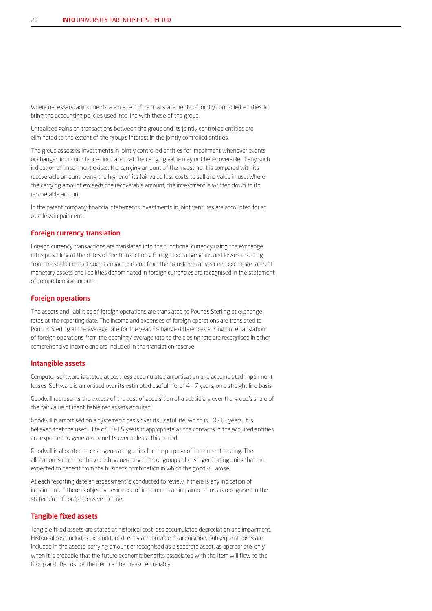Where necessary, adjustments are made to financial statements of jointly controlled entities to bring the accounting policies used into line with those of the group.

Unrealised gains on transactions between the group and its jointly controlled entities are eliminated to the extent of the group's interest in the jointly controlled entities.

The group assesses investments in jointly controlled entities for impairment whenever events or changes in circumstances indicate that the carrying value may not be recoverable. If any such indication of impairment exists, the carrying amount of the investment is compared with its recoverable amount, being the higher of its fair value less costs to sell and value in use. Where the carrying amount exceeds the recoverable amount, the investment is written down to its recoverable amount.

In the parent company financial statements investments in joint ventures are accounted for at cost less impairment.

#### Foreign currency translation

Foreign currency transactions are translated into the functional currency using the exchange rates prevailing at the dates of the transactions. Foreign exchange gains and losses resulting from the settlement of such transactions and from the translation at year end exchange rates of monetary assets and liabilities denominated in foreign currencies are recognised in the statement of comprehensive income.

#### Foreign operations

The assets and liabilities of foreign operations are translated to Pounds Sterling at exchange rates at the reporting date. The income and expenses of foreign operations are translated to Pounds Sterling at the average rate for the year. Exchange differences arising on retranslation of foreign operations from the opening / average rate to the closing rate are recognised in other comprehensive income and are included in the translation reserve.

#### Intangible assets

Computer software is stated at cost less accumulated amortisation and accumulated impairment losses. Software is amortised over its estimated useful life, of 4 – 7 years, on a straight line basis.

Goodwill represents the excess of the cost of acquisition of a subsidiary over the group's share of the fair value of identifiable net assets acquired.

Goodwill is amortised on a systematic basis over its useful life, which is 10 -15 years. It is believed that the useful life of 10-15 years is appropriate as the contacts in the acquired entities are expected to generate benefits over at least this period.

Goodwill is allocated to cash-generating units for the purpose of impairment testing. The allocation is made to those cash-generating units or groups of cash-generating units that are expected to benefit from the business combination in which the goodwill arose.

At each reporting date an assessment is conducted to review if there is any indication of impairment. If there is objective evidence of impairment an impairment loss is recognised in the statement of comprehensive income.

#### Tangible fixed assets

Tangible fixed assets are stated at historical cost less accumulated depreciation and impairment. Historical cost includes expenditure directly attributable to acquisition. Subsequent costs are included in the assets' carrying amount or recognised as a separate asset, as appropriate, only when it is probable that the future economic benefits associated with the item will flow to the Group and the cost of the item can be measured reliably.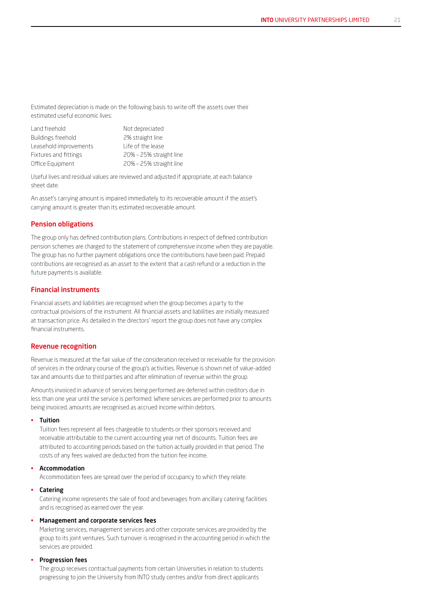Estimated depreciation is made on the following basis to write off the assets over their estimated useful economic lives:

| Land freehold          | Not depreciated         |
|------------------------|-------------------------|
| Buildings freehold     | 2% straight line        |
| Leasehold improvements | I ife of the lease      |
| Fixtures and fittings  | 20% - 25% straight line |
| Office Equipment       | 20% - 25% straight line |

Useful lives and residual values are reviewed and adjusted if appropriate, at each balance sheet date.

An asset's carrying amount is impaired immediately to its recoverable amount if the asset's carrying amount is greater than its estimated recoverable amount.

#### Pension obligations

The group only has defined contribution plans. Contributions in respect of defined contribution pension schemes are charged to the statement of comprehensive income when they are payable. The group has no further payment obligations once the contributions have been paid. Prepaid contributions are recognised as an asset to the extent that a cash refund or a reduction in the future payments is available.

#### Financial instruments

Financial assets and liabilities are recognised when the group becomes a party to the contractual provisions of the instrument. All financial assets and liabilities are initially measured at transaction price. As detailed in the directors' report the group does not have any complex financial instruments.

#### Revenue recognition

Revenue is measured at the fair value of the consideration received or receivable for the provision of services in the ordinary course of the group's activities. Revenue is shown net of value-added tax and amounts due to third parties and after elimination of revenue within the group.

Amounts invoiced in advance of services being performed are deferred within creditors due in less than one year until the service is performed. Where services are performed prior to amounts being invoiced, amounts are recognised as accrued income within debtors.

#### • Tuition

Tuition fees represent all fees chargeable to students or their sponsors received and receivable attributable to the current accounting year net of discounts. Tuition fees are attributed to accounting periods based on the tuition actually provided in that period. The costs of any fees waived are deducted from the tuition fee income.

#### **Accommodation**

Accommodation fees are spread over the period of occupancy to which they relate.

#### • Catering

Catering income represents the sale of food and beverages from ancillary catering facilities and is recognised as earned over the year.

#### • Management and corporate services fees

Marketing services, management services and other corporate services are provided by the group to its joint ventures. Such turnover is recognised in the accounting period in which the services are provided.

#### • Progression fees

The group receives contractual payments from certain Universities in relation to students progressing to join the University from INTO study centres and/or from direct applicants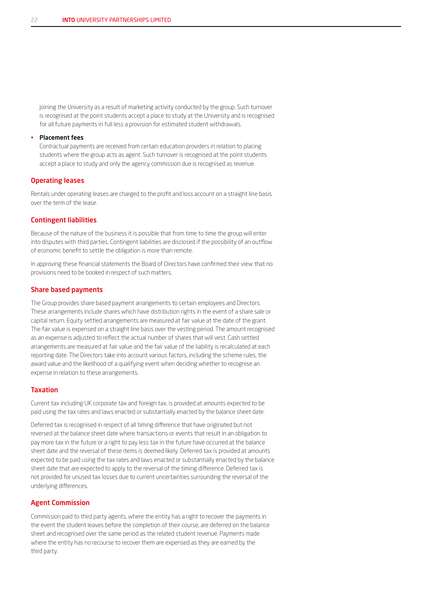joining the University as a result of marketing activity conducted by the group. Such turnover is recognised at the point students accept a place to study at the University and is recognised for all future payments in full less a provision for estimated student withdrawals.

#### • Placement fees

Contractual payments are received from certain education providers in relation to placing students where the group acts as agent. Such turnover is recognised at the point students accept a place to study and only the agency commission due is recognised as revenue.

#### Operating leases

Rentals under operating leases are charged to the profit and loss account on a straight line basis over the term of the lease.

#### Contingent liabilities

Because of the nature of the business it is possible that from time to time the group will enter into disputes with third parties. Contingent liabilities are disclosed if the possibility of an outflow of economic benefit to settle the obligation is more than remote.

In approving these financial statements the Board of Directors have confirmed their view that no provisions need to be booked in respect of such matters.

#### Share based payments

The Group provides share based payment arrangements to certain employees and Directors. These arrangements include shares which have distribution rights in the event of a share sale or capital return. Equity settled arrangements are measured at fair value at the date of the grant. The fair value is expensed on a straight line basis over the vesting period. The amount recognised as an expense is adjusted to reflect the actual number of shares that will vest. Cash settled arrangements are measured at fair value and the fair value of the liability is recalculated at each reporting date. The Directors take into account various factors, including the scheme rules, the award value and the likelihood of a qualifying event when deciding whether to recognise an expense in relation to these arrangements.

#### Taxation

Current tax including UK corporate tax and foreign tax, is provided at amounts expected to be paid using the tax rates and laws enacted or substantially enacted by the balance sheet date.

Deferred tax is recognised in respect of all timing difference that have originated but not reversed at the balance sheet date where transactions or events that result in an obligation to pay more tax in the future or a right to pay less tax in the future have occurred at the balance sheet date and the reversal of these items is deemed likely. Deferred tax is provided at amounts expected to be paid using the tax rates and laws enacted or substantially enacted by the balance sheet date that are expected to apply to the reversal of the timing difference. Deferred tax is not provided for unused tax losses due to current uncertainties surrounding the reversal of the underlying differences.

#### Agent Commission

Commission paid to third party agents, where the entity has a right to recover the payments in the event the student leaves before the completion of their course, are deferred on the balance sheet and recognised over the same period as the related student revenue. Payments made where the entity has no recourse to recover them are expensed as they are earned by the third party.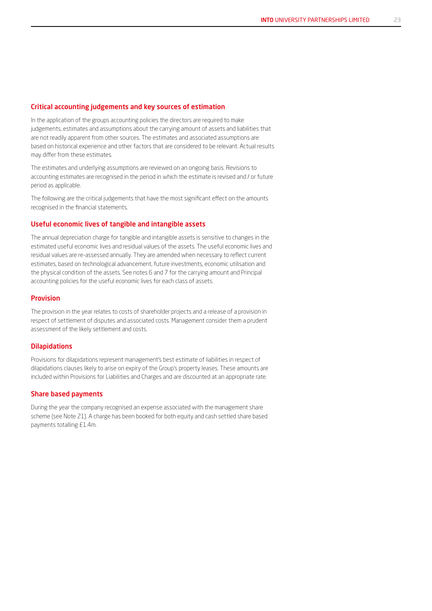#### Critical accounting judgements and key sources of estimation

In the application of the groups accounting policies the directors are required to make judgements, estimates and assumptions about the carrying amount of assets and liabilities that are not readily apparent from other sources. The estimates and associated assumptions are based on historical experience and other factors that are considered to be relevant. Actual results may differ from these estimates.

The estimates and underlying assumptions are reviewed on an ongoing basis. Revisions to accounting estimates are recognised in the period in which the estimate is revised and / or future period as applicable.

The following are the critical judgements that have the most significant effect on the amounts recognised in the financial statements.

#### Useful economic lives of tangible and intangible assets

The annual depreciation charge for tangible and intangible assets is sensitive to changes in the estimated useful economic lives and residual values of the assets. The useful economic lives and residual values are re-assessed annually. They are amended when necessary to reflect current estimates, based on technological advancement, future investments, economic utilisation and the physical condition of the assets. See notes 6 and 7 for the carrying amount and Principal accounting policies for the useful economic lives for each class of assets.

#### Provision

The provision in the year relates to costs of shareholder projects and a release of a provision in respect of settlement of disputes and associated costs. Management consider them a prudent assessment of the likely settlement and costs.

#### Dilapidations

Provisions for dilapidations represent management's best estimate of liabilities in respect of dilapidations clauses likely to arise on expiry of the Group's property leases. These amounts are included within Provisions for Liabilities and Charges and are discounted at an appropriate rate.

#### Share based payments

During the year the company recognised an expense associated with the management share scheme (see Note 21). A charge has been booked for both equity and cash settled share based payments totalling £1.4m.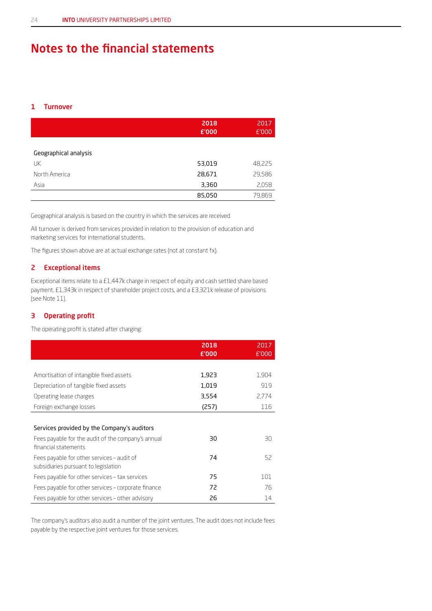### Notes to the financial statements

#### 1 Turnover

|                       | 2018<br>£'000 | 2017<br>£'000 |
|-----------------------|---------------|---------------|
| Geographical analysis |               |               |
| UK                    | 53,019        | 48,225        |
| North America         | 28,671        | 29,586        |
| Asia                  | 3,360         | 2,058         |
|                       | 85,050        | 79,869        |

Geographical analysis is based on the country in which the services are received.

All turnover is derived from services provided in relation to the provision of education and marketing services for international students.

The figures shown above are at actual exchange rates (not at constant fx).

#### 2 Exceptional items

Exceptional items relate to a £1,447k charge in respect of equity and cash settled share based payment, £1,343k in respect of shareholder project costs, and a £3,321k release of provisions (see Note 11).

#### 3 Operating profit

The operating profit is stated after charging:

|                                                                                    | 2018<br>£'000 | 2017<br>£'000 |
|------------------------------------------------------------------------------------|---------------|---------------|
|                                                                                    |               |               |
| Amortisation of intangible fixed assets                                            | 1,923         | 1,904         |
| Depreciation of tangible fixed assets                                              | 1,019         | 919           |
| Operating lease charges                                                            | 3,554         | 2.774         |
| Foreign exchange losses                                                            | (257)         | 116           |
|                                                                                    |               |               |
| Services provided by the Company's auditors                                        |               |               |
| Fees payable for the audit of the company's annual<br>financial statements         | 30            | 30            |
| Fees payable for other services - audit of<br>subsidiaries pursuant to legislation | 74            | 52            |
| Fees payable for other services - tax services                                     | 75            | 101           |
| Fees payable for other services - corporate finance                                | 72            | 76            |
| Fees payable for other services – other advisory                                   | 26            | 14            |

The company's auditors also audit a number of the joint ventures. The audit does not include fees payable by the respective joint ventures for those services.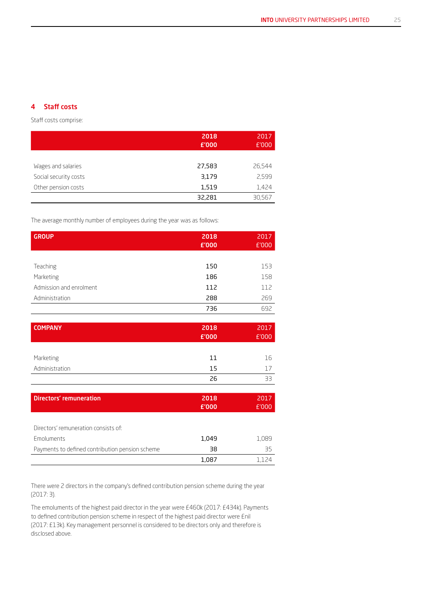#### 4 Staff costs

Staff costs comprise:

|                       | 2018<br>£'000 | 2017<br>E'000 |
|-----------------------|---------------|---------------|
|                       |               |               |
| Wages and salaries    | 27,583        | 26,544        |
| Social security costs | 3,179         | 2,599         |
| Other pension costs   | 1,519         | 1,424         |
|                       | 32,281        | 30,567        |

The average monthly number of employees during the year was as follows:

| <b>GROUP</b>                                    | 2018<br>£'000 | 2017<br>£'000 |
|-------------------------------------------------|---------------|---------------|
|                                                 |               |               |
| Teaching                                        | 150           | 153           |
| Marketing                                       | 186           | 158           |
| Admission and enrolment                         | 112           | 112           |
| Administration                                  | 288           | 269           |
|                                                 | 736           | 692           |
|                                                 |               |               |
| <b>COMPANY</b>                                  | 2018          | 2017          |
|                                                 | £'000         | £'000         |
|                                                 |               |               |
| Marketing                                       | 11            | 16            |
| Administration                                  | 15            | 17            |
|                                                 | 26            | 33            |
|                                                 |               |               |
| <b>Directors' remuneration</b>                  | 2018          | 2017          |
|                                                 | £'000         | £'000         |
|                                                 |               |               |
| Directors' remuneration consists of:            |               |               |
| Emoluments                                      | 1,049         | 1,089         |
| Payments to defined contribution pension scheme | 38            | 35            |
|                                                 | 1,087         | 1,124         |

There were 2 directors in the company's defined contribution pension scheme during the year (2017: 3).

The emoluments of the highest paid director in the year were £460k (2017: £434k). Payments to defined contribution pension scheme in respect of the highest paid director were £nil (2017: £13k). Key management personnel is considered to be directors only and therefore is disclosed above.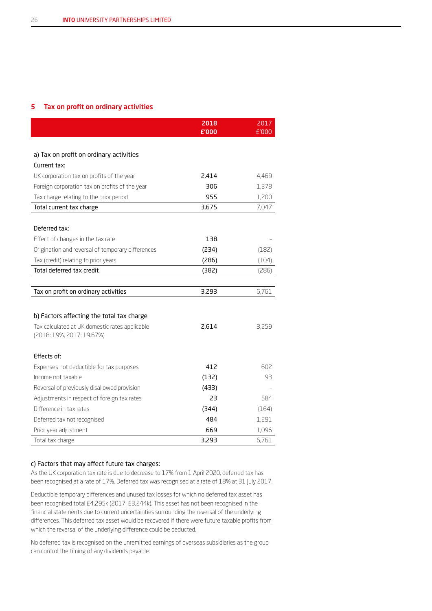#### 5 Tax on profit on ordinary activities

|                                                   | 2018<br>£'000 | 2017<br>£'000 |
|---------------------------------------------------|---------------|---------------|
|                                                   |               |               |
| a) Tax on profit on ordinary activities           |               |               |
| Current tax:                                      |               |               |
| UK corporation tax on profits of the year         | 2,414         | 4,469         |
| Foreign corporation tax on profits of the year    | 306           | 1,378         |
| Tax charge relating to the prior period           | 955           | 1,200         |
| Total current tax charge                          | 3,675         | 7,047         |
|                                                   |               |               |
| Deferred tax:                                     |               |               |
| Effect of changes in the tax rate                 | 138           |               |
| Origination and reversal of temporary differences | (234)         | (182)         |
| Tax (credit) relating to prior years              | (286)         | (104)         |
| Total deferred tax credit                         | (382)         | (286)         |
|                                                   |               |               |
| Tax on profit on ordinary activities              | 3,293         | 6,761         |
|                                                   |               |               |
| b) Factors affecting the total tax charge         |               |               |
| Tax calculated at UK domestic rates applicable    | 2,614         | 3,259         |
| (2018: 19%, 2017: 19.67%)                         |               |               |
| Effects of:                                       |               |               |
| Expenses not deductible for tax purposes          | 412           | 602           |
| Income not taxable                                | (132)         | 93            |
| Reversal of previously disallowed provision       | (433)         |               |
| Adjustments in respect of foreign tax rates       | 23            | 584           |
| Difference in tax rates                           | (344)         | (164)         |
| Deferred tax not recognised                       | 484           | 1,291         |
| Prior year adjustment                             | 669           | 1,096         |
| Total tax charge                                  | 3,293         | 6,761         |

#### c) Factors that may affect future tax charges:

As the UK corporation tax rate is due to decrease to 17% from 1 April 2020, deferred tax has been recognised at a rate of 17%. Deferred tax was recognised at a rate of 18% at 31 July 2017.

Deductible temporary differences and unused tax losses for which no deferred tax asset has been recognised total £4,295k (2017: £3,244k). This asset has not been recognised in the financial statements due to current uncertainties surrounding the reversal of the underlying differences. This deferred tax asset would be recovered if there were future taxable profits from which the reversal of the underlying difference could be deducted.

No deferred tax is recognised on the unremitted earnings of overseas subsidiaries as the group can control the timing of any dividends payable.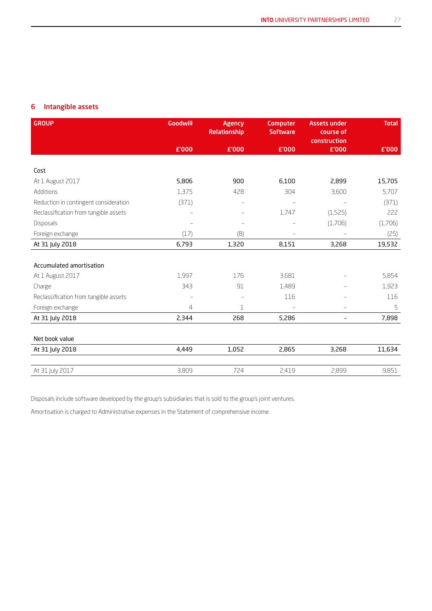#### 6 Intangible assets

| <b>GROUP</b>                          | <b>Goodwill</b> | <b>Agency</b><br>Relationship | <b>Computer</b><br><b>Software</b> | <b>Assets under</b><br>course of<br>construction | <b>Total</b> |
|---------------------------------------|-----------------|-------------------------------|------------------------------------|--------------------------------------------------|--------------|
|                                       | £'000           | £'000                         | £'000                              | £'000                                            | £'000        |
|                                       |                 |                               |                                    |                                                  |              |
| Cost                                  |                 |                               |                                    |                                                  |              |
| At 1 August 2017                      | 5,806           | 900                           | 6,100                              | 2,899                                            | 15,705       |
| Additions                             | 1,375           | 428                           | 304                                | 3,600                                            | 5,707        |
| Reduction in contingent consideration | (371)           |                               |                                    |                                                  | (371)        |
| Reclassification from tangible assets |                 |                               | 1,747                              | (1,525)                                          | 222          |
| <b>Disposals</b>                      |                 |                               |                                    | (1,706)                                          | (1,706)      |
| Foreign exchange                      | (17)            | (8)                           |                                    |                                                  | (25)         |
| At 31 July 2018                       | 6,793           | 1,320                         | 8,151                              | 3,268                                            | 19,532       |
|                                       |                 |                               |                                    |                                                  |              |
| Accumulated amortisation              |                 |                               |                                    |                                                  |              |
| At 1 August 2017                      | 1,997           | 176                           | 3,681                              |                                                  | 5,854        |
| Charge                                | 343             | 91                            | 1,489                              |                                                  | 1,923        |
| Reclassification from tangible assets |                 | $\overline{\phantom{a}}$      | 116                                |                                                  | 116          |
| Foreign exchange                      | $\overline{4}$  | 1                             |                                    |                                                  | 5            |
| At 31 July 2018                       | 2,344           | 268                           | 5,286                              | $\overline{\phantom{a}}$                         | 7,898        |
|                                       |                 |                               |                                    |                                                  |              |
| Net book value                        |                 |                               |                                    |                                                  |              |
| At 31 July 2018                       | 4,449           | 1,052                         | 2,865                              | 3,268                                            | 11,634       |
|                                       |                 |                               |                                    |                                                  |              |
| At 31 July 2017                       | 3,809           | 724                           | 2,419                              | 2,899                                            | 9,851        |

Disposals include software developed by the group's subsidiaries that is sold to the group's joint ventures.

Amortisation is charged to Administrative expenses in the Statement of comprehensive income.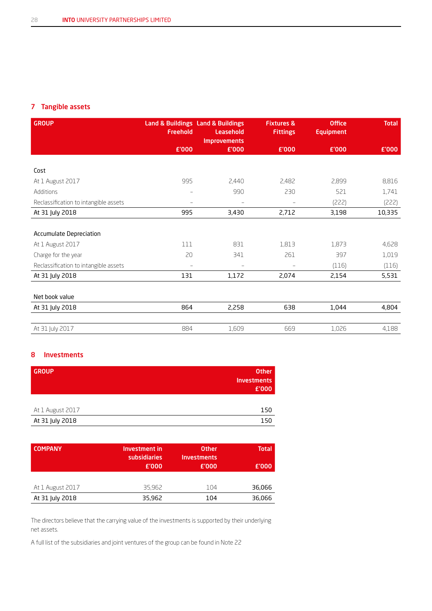#### 7 Tangible assets

| <b>GROUP</b>                          | <b>Freehold</b>   | Land & Buildings Land & Buildings<br>Leasehold<br><b>Improvements</b> | <b>Fixtures &amp;</b><br><b>Fittings</b> | <b>Office</b><br><b>Equipment</b> | <b>Total</b> |
|---------------------------------------|-------------------|-----------------------------------------------------------------------|------------------------------------------|-----------------------------------|--------------|
|                                       | £'000             | £'000                                                                 | £'000                                    | £'000                             | £'000        |
|                                       |                   |                                                                       |                                          |                                   |              |
| Cost                                  |                   |                                                                       |                                          |                                   |              |
| At 1 August 2017                      | 995               | 2,440                                                                 | 2,482                                    | 2,899                             | 8,816        |
| Additions                             | $\qquad \qquad -$ | 990                                                                   | 230                                      | 521                               | 1,741        |
| Reclassification to intangible assets | $\qquad \qquad -$ |                                                                       | $\overline{\phantom{0}}$                 | (222)                             | (222)        |
| At 31 July 2018                       | 995               | 3,430                                                                 | 2,712                                    | 3,198                             | 10,335       |
|                                       |                   |                                                                       |                                          |                                   |              |
| <b>Accumulate Depreciation</b>        |                   |                                                                       |                                          |                                   |              |
| At 1 August 2017                      | 111               | 831                                                                   | 1,813                                    | 1,873                             | 4,628        |
| Charge for the year                   | 20                | 341                                                                   | 261                                      | 397                               | 1,019        |
| Reclassification to intangible assets | $\equiv$          | $\overline{\phantom{a}}$                                              | $\qquad \qquad -$                        | (116)                             | (116)        |
| At 31 July 2018                       | 131               | 1,172                                                                 | 2,074                                    | 2,154                             | 5,531        |
|                                       |                   |                                                                       |                                          |                                   |              |
| Net book value                        |                   |                                                                       |                                          |                                   |              |
| At 31 July 2018                       | 864               | 2,258                                                                 | 638                                      | 1,044                             | 4,804        |
|                                       |                   |                                                                       |                                          |                                   |              |
| At 31 July 2017                       | 884               | 1,609                                                                 | 669                                      | 1,026                             | 4,188        |

#### 8 Investments

| <b>GROUP</b>     | <b>Other</b><br><b>Investments</b><br>E'000 |
|------------------|---------------------------------------------|
|                  |                                             |
| At 1 August 2017 | 150                                         |
| At 31 July 2018  | 150                                         |

| <b>COMPANY</b>   | <b>Investment in</b><br>subsidiaries<br>E'000 | <b>Other</b><br>Investments<br>£'000 | <b>Total</b><br>£'000 |
|------------------|-----------------------------------------------|--------------------------------------|-----------------------|
|                  |                                               |                                      |                       |
| At 1 August 2017 | 35,962                                        | 104                                  | 36,066                |
| At 31 July 2018  | 35,962                                        | 104                                  | 36,066                |

The directors believe that the carrying value of the investments is supported by their underlying net assets.

A full list of the subsidiaries and joint ventures of the group can be found in Note 22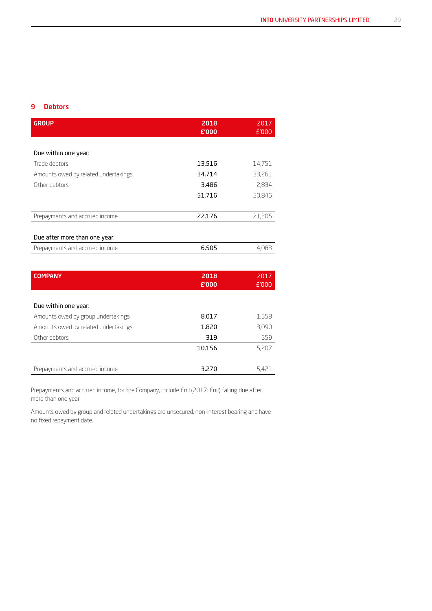#### 9 Debtors

| <b>GROUP</b>                         | 2018<br>£'000 | 2017<br>£'000 |
|--------------------------------------|---------------|---------------|
|                                      |               |               |
| Due within one year:                 |               |               |
| Trade debtors                        | 13,516        | 14,751        |
| Amounts owed by related undertakings | 34,714        | 33,261        |
| Other debtors                        | 3,486         | 2,834         |
|                                      | 51,716        | 50,846        |
|                                      |               |               |
| Prepayments and accrued income       | 22,176        | 21,305        |
|                                      |               |               |
| Due after more than one year:        |               |               |
| Prepayments and accrued income       | 6,505         | 4,083         |
|                                      |               |               |
| ---------                            | ----          | ----          |

| <b>COMPANY</b>                       | 2018<br>£'000 | 2017<br>£'000 |
|--------------------------------------|---------------|---------------|
|                                      |               |               |
| Due within one year:                 |               |               |
| Amounts owed by group undertakings   | 8,017         | 1,558         |
| Amounts owed by related undertakings | 1,820         | 3,090         |
| Other debtors                        | 319           | 559           |
|                                      | 10,156        | 5,207         |
|                                      |               |               |
| Prepayments and accrued income       | 3,270         | 5.421         |
|                                      |               |               |

Prepayments and accrued income, for the Company, include £nil (2017: £nil) falling due after more than one year.

Amounts owed by group and related undertakings are unsecured, non-interest bearing and have no fixed repayment date.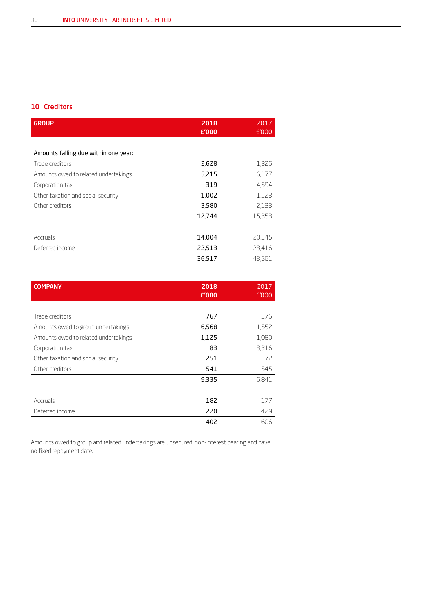#### 10 Creditors

| <b>GROUP</b>                         | 2018<br>£'000 | 2017<br>£'000 |
|--------------------------------------|---------------|---------------|
|                                      |               |               |
| Amounts falling due within one year: |               |               |
| Trade creditors                      | 2,628         | 1,326         |
| Amounts owed to related undertakings | 5,215         | 6,177         |
| Corporation tax                      | 319           | 4,594         |
| Other taxation and social security   | 1,002         | 1,123         |
| Other creditors                      | 3,580         | 2,133         |
|                                      | 12,744        | 15,353        |
|                                      |               |               |
| Accruals                             | 14,004        | 20.145        |
| Deferred income                      | 22,513        | 23,416        |
|                                      | 36,517        | 43,561        |

| <b>COMPANY</b>                       | 2018<br>£'000 | 2017<br>£'000 |
|--------------------------------------|---------------|---------------|
|                                      |               |               |
| Trade creditors                      | 767           | 176           |
| Amounts owed to group undertakings   | 6,568         | 1,552         |
| Amounts owed to related undertakings | 1,125         | 1,080         |
| Corporation tax                      | 83            | 3,316         |
| Other taxation and social security   | 251           | 172           |
| Other creditors                      | 541           | 545           |
|                                      | 9,335         | 6,841         |
|                                      |               |               |
| Accruals                             | 182           | 177           |
| Deferred income                      | 220           | 429           |
|                                      | 402           | 606           |

Amounts owed to group and related undertakings are unsecured, non-interest bearing and have no fixed repayment date.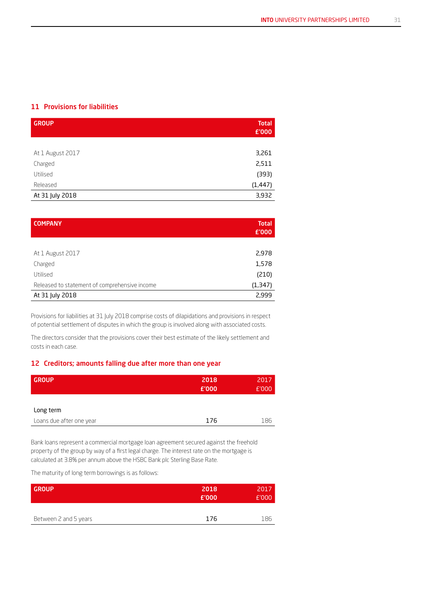#### 11 Provisions for liabilities

| <b>GROUP</b>     | <b>Total</b><br>£'000 |
|------------------|-----------------------|
|                  |                       |
| At 1 August 2017 | 3,261                 |
| Charged          | 2,511                 |
| Utilised         | (393)                 |
| Released         | (1, 447)              |
| At 31 July 2018  | 3,932                 |

| <b>COMPANY</b>                                | <b>Total</b><br>£'000 |
|-----------------------------------------------|-----------------------|
|                                               |                       |
| At 1 August 2017                              | 2,978                 |
| Charged                                       | 1,578                 |
| Utilised                                      | (210)                 |
| Released to statement of comprehensive income | (1,347)               |
| At 31 July 2018                               | 2,999                 |

Provisions for liabilities at 31 July 2018 comprise costs of dilapidations and provisions in respect of potential settlement of disputes in which the group is involved along with associated costs.

The directors consider that the provisions cover their best estimate of the likely settlement and costs in each case.

#### 12 Creditors; amounts falling due after more than one year

| <b>GROUP</b>             | 2018<br>£'000 | 2017<br>£'000 |
|--------------------------|---------------|---------------|
| Long term                |               |               |
| Loans due after one year | 176           | 186           |

Bank loans represent a commercial mortgage loan agreement secured against the freehold property of the group by way of a first legal charge. The interest rate on the mortgage is calculated at 3.8% per annum above the HSBC Bank plc Sterling Base Rate.

The maturity of long term borrowings is as follows:

| <b>GROUP</b>          | 2018<br>£'000 | 2017<br>E'000 |
|-----------------------|---------------|---------------|
| Between 2 and 5 years | 176           | 186           |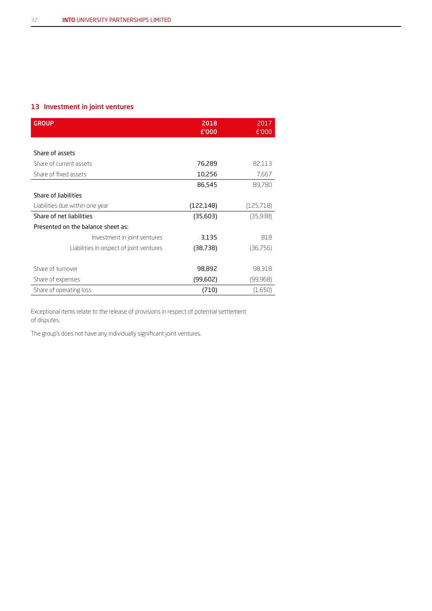#### 13 Investment in joint ventures

| <b>GROUP</b>                             | 2018<br>£'000 | 2017<br>£'000 |
|------------------------------------------|---------------|---------------|
|                                          |               |               |
| Share of assets                          |               |               |
| Share of current assets                  | 76,289        | 82,113        |
| Share of fixed assets                    | 10,256        | 7,667         |
|                                          | 86,545        | 89,780        |
| Share of liabilities                     |               |               |
| Liabilities due within one year          | (122, 148)    | (125,718)     |
| Share of net liabilities                 | (35,603)      | (35,938)      |
| Presented on the balance sheet as:       |               |               |
| Investment in joint ventures             | 3,135         | 818           |
| Liabilities in respect of joint ventures | (38,738)      | (36,756)      |
|                                          |               |               |
| Share of turnover                        | 98,892        | 98,318        |
| Share of expenses                        | (99,602)      | (99,968)      |
| Share of operating loss                  | (710)         | (1,650)       |

Exceptional items relate to the release of provisions in respect of potential settlement of disputes.

The group's does not have any individually significant joint ventures.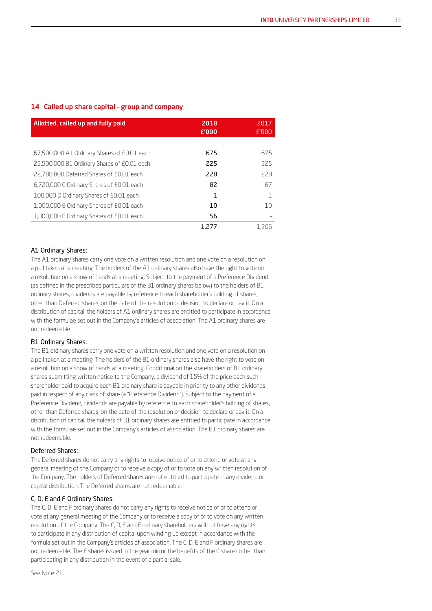#### 14 Called up share capital – group and company

| Allotted, called up and fully paid          | 2018<br>£'000 | 2017<br>E'000 |
|---------------------------------------------|---------------|---------------|
|                                             |               |               |
| 67,500,000 A1 Ordinary Shares of £0.01 each | 675           | 675           |
| 22,500,000 B1 Ordinary Shares of £0.01 each | 225           | 225           |
| 22.788.800 Deferred Shares of £0.01 each    | 228           | 228           |
| 6,720,000 C Ordinary Shares of £0.01 each   | 82            | 67            |
| 100,000 D Ordinary Shares of £0.01 each     | 1             |               |
| 1,000,000 E Ordinary Shares of £0.01 each   | 10            | 10            |
| 1,000,000 F Ordinary Shares of £0.01 each   | 56            |               |
|                                             | 1.277         | 1.206         |

#### A1 Ordinary Shares:

The A1 ordinary shares carry one vote on a written resolution and one vote on a resolution on a poll taken at a meeting. The holders of the A1 ordinary shares also have the right to vote on a resolution on a show of hands at a meeting. Subject to the payment of a Preference Dividend (as defined in the prescribed particulars of the B1 ordinary shares below) to the holders of B1 ordinary shares, dividends are payable by reference to each shareholder's holding of shares, other than Deferred shares, on the date of the resolution or decision to declare or pay it. On a distribution of capital, the holders of A1 ordinary shares are entitled to participate in accordance with the formulae set out in the Company's articles of association. The A1 ordinary shares are not redeemable.

#### B1 Ordinary Shares:

The B1 ordinary shares carry one vote on a written resolution and one vote on a resolution on a poll taken at a meeting. The holders of the B1 ordinary shares also have the right to vote on a resolution on a show of hands at a meeting. Conditional on the shareholders of B1 ordinary shares submitting written notice to the Company, a dividend of 15% of the price each such shareholder paid to acquire each B1 ordinary share is payable in priority to any other dividends paid in respect of any class of share (a "Preference Dividend"). Subject to the payment of a Preference Dividend, dividends are payable by reference to each shareholder's holding of shares, other than Deferred shares, on the date of the resolution or decision to declare or pay it. On a distribution of capital, the holders of B1 ordinary shares are entitled to participate in accordance with the formulae set out in the Company's articles of association. The B1 ordinary shares are not redeemable.

#### Deferred Shares:

The Deferred shares do not carry any rights to receive notice of or to attend or vote at any general meeting of the Company or to receive a copy of or to vote on any written resolution of the Company. The holders of Deferred shares are not entitled to participate in any dividend or capital distribution. The Deferred shares are not redeemable.

#### C, D, E and F Ordinary Shares:

The C, D, E and F ordinary shares do not carry any rights to receive notice of or to attend or vote at any general meeting of the Company or to receive a copy of or to vote on any written resolution of the Company. The C, D, E and F ordinary shareholders will not have any rights to participate in any distribution of capital upon winding up except in accordance with the formula set out in the Company's articles of association. The C, D, E and F ordinary shares are not redeemable. The F shares issued in the year mirror the benefits of the C shares other than participating in any distribution in the event of a partial sale.

See Note 21.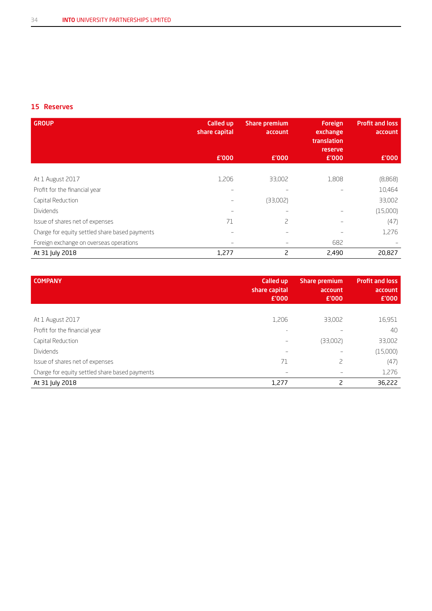#### 15 Reserves

| <b>GROUP</b>                                   | Called up<br>share capital | <b>Share premium</b><br>account | <b>Foreign</b><br>exchange<br>translation<br><b>reserve</b> | <b>Profit and loss</b><br>account |
|------------------------------------------------|----------------------------|---------------------------------|-------------------------------------------------------------|-----------------------------------|
|                                                | £'000                      | £'000                           | £'000                                                       | £'000                             |
|                                                |                            |                                 |                                                             |                                   |
| At 1 August 2017                               | 1,206                      | 33,002                          | 1,808                                                       | (8,868)                           |
| Profit for the financial year                  |                            |                                 |                                                             | 10,464                            |
| Capital Reduction                              |                            | (33,002)                        |                                                             | 33,002                            |
| <b>Dividends</b>                               |                            |                                 |                                                             | (15,000)                          |
| Issue of shares net of expenses                | 71                         | 2                               |                                                             | (47)                              |
| Charge for equity settled share based payments |                            |                                 |                                                             | 1,276                             |
| Foreign exchange on overseas operations        |                            |                                 | 682                                                         |                                   |
| At 31 July 2018                                | 1,277                      | $\overline{c}$                  | 2,490                                                       | 20,827                            |

| <b>COMPANY</b>                                 | Called up<br>share capital<br>£'000 | <b>Share premium</b><br>account<br>£'000 | <b>Profit and loss</b><br>account<br>£'000 |
|------------------------------------------------|-------------------------------------|------------------------------------------|--------------------------------------------|
|                                                |                                     |                                          |                                            |
| At 1 August 2017                               | 1,206                               | 33,002                                   | 16,951                                     |
| Profit for the financial year                  |                                     |                                          | 40                                         |
| Capital Reduction                              | $\overline{\phantom{0}}$            | (33,002)                                 | 33,002                                     |
| <b>Dividends</b>                               |                                     |                                          | (15,000)                                   |
| Issue of shares net of expenses                | 71                                  | 2                                        | (47)                                       |
| Charge for equity settled share based payments |                                     |                                          | 1,276                                      |
| At 31 July 2018                                | 1,277                               | 2                                        | 36,222                                     |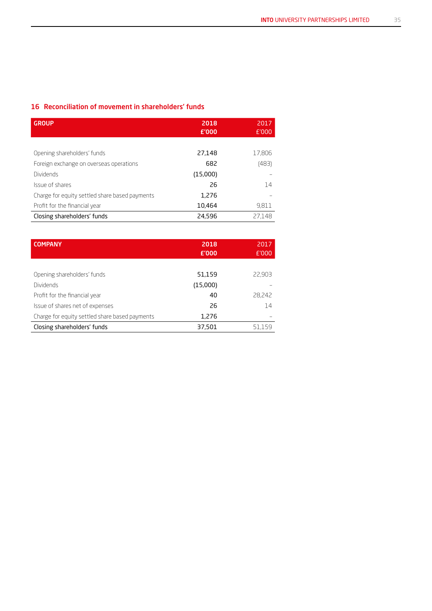#### 16 Reconciliation of movement in shareholders' funds

| <b>GROUP</b>                                   | 2018<br>E'000 | 2017<br>E'000 |
|------------------------------------------------|---------------|---------------|
|                                                |               |               |
| Opening shareholders' funds                    | 27,148        | 17,806        |
| Foreign exchange on overseas operations        | 682           | (483)         |
| Dividends                                      | (15,000)      |               |
| Issue of shares                                | 26            | 14            |
| Charge for equity settled share based payments | 1,276         |               |
| Profit for the financial year                  | 10,464        | 9,811         |
| Closing shareholders' funds                    | 24,596        | 27.148        |

| <b>COMPANY</b>                                 | 2018<br>£'000 | 2017<br>£'000 |
|------------------------------------------------|---------------|---------------|
|                                                |               |               |
| Opening shareholders' funds                    | 51,159        | 22,903        |
| <b>Dividends</b>                               | (15,000)      |               |
| Profit for the financial year                  | 40            | 28,242        |
| Issue of shares net of expenses                | 26            | 14            |
| Charge for equity settled share based payments | 1,276         |               |
| Closing shareholders' funds                    | 37,501        | 51,159        |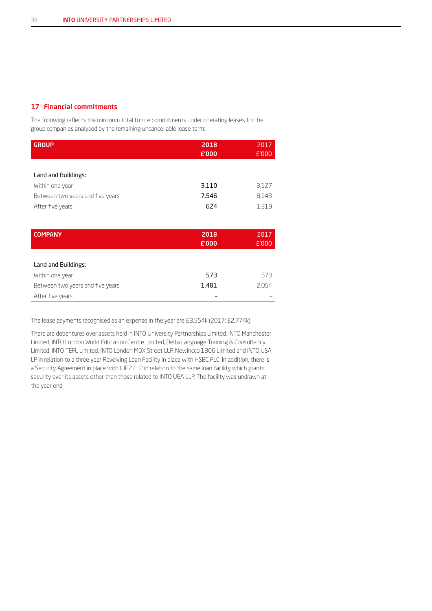#### 17 Financial commitments

The following reflects the minimum total future commitments under operating leases for the group companies analysed by the remaining uncancellable lease term:

| <b>GROUP</b>                     | 2018<br>£'000 | 2017<br>E'000 |
|----------------------------------|---------------|---------------|
|                                  |               |               |
| Land and Buildings:              |               |               |
| Within one year                  | 3,110         | 3,127         |
| Between two years and five years | 7.546         | 8,143         |
| After five years                 | 624           | 1,319         |

| <b>COMPANY</b>                   | 2018<br>£'000 | 2017<br>£'000 |
|----------------------------------|---------------|---------------|
|                                  |               |               |
| Land and Buildings:              |               |               |
| Within one year                  | 573           | 573           |
| Between two years and five years | 1,481         | 2.054         |
| After five years                 |               |               |

The lease payments recognised as an expense in the year are £3,554k (2017: £2,774k).

There are debentures over assets held in INTO University Partnerships Limited, INTO Manchester Limited, INTO London World Education Centre Limited, Delta Language Training & Consultancy Limited, INTO TEFL Limited, INTO London MDX Street LLP, Newincco 1306 Limited and INTO USA LP in relation to a three year Revolving Loan Facility in place with HSBC PLC. In addition, there is a Security Agreement in place with IUP2 LLP in relation to the same loan facility which grants security over its assets other than those related to INTO UEA LLP. The facility was undrawn at the year end.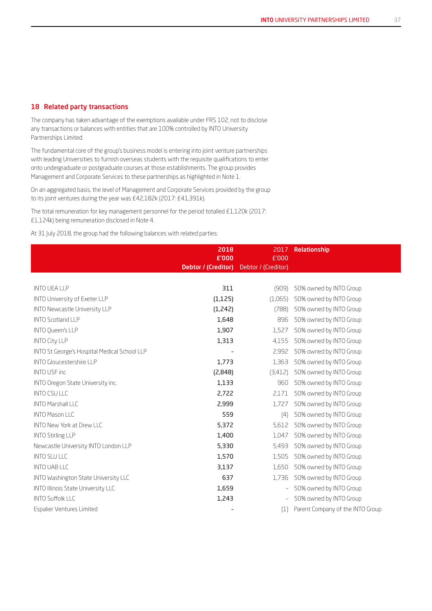#### 18 Related party transactions

The company has taken advantage of the exemptions available under FRS 102, not to disclose any transactions or balances with entities that are 100% controlled by INTO University Partnerships Limited.

The fundamental core of the group's business model is entering into joint venture partnerships with leading Universities to furnish overseas students with the requisite qualifications to enter onto undergraduate or postgraduate courses at those establishments. The group provides Management and Corporate Services to these partnerships as highlighted in Note 1.

On an aggregated basis, the level of Management and Corporate Services provided by the group to its joint ventures during the year was £42,182k (2017: £41,391k).

The total remuneration for key management personnel for the period totalled £1,120k (2017: £1,124k) being remuneration disclosed in Note 4.

At 31 July 2018, the group had the following balances with related parties:

|                                              | 2018                | 2017                     | Relationship                     |
|----------------------------------------------|---------------------|--------------------------|----------------------------------|
|                                              | £'000               | £'000                    |                                  |
|                                              | Debtor / (Creditor) | Debtor / (Creditor)      |                                  |
|                                              |                     |                          |                                  |
| <b>INTO UEA LLP</b>                          | 311                 | (909)                    | 50% owned by INTO Group          |
| INTO University of Exeter LLP                | (1, 125)            | (1,065)                  | 50% owned by INTO Group          |
| <b>INTO Newcastle University LLP</b>         | (1,242)             | (788)                    | 50% owned by INTO Group          |
| <b>INTO Scotland LLP</b>                     | 1,648               | 896                      | 50% owned by INTO Group          |
| <b>INTO Queen's LLP</b>                      | 1,907               | 1,527                    | 50% owned by INTO Group          |
| <b>INTO City LLP</b>                         | 1,313               | 4,155                    | 50% owned by INTO Group          |
| INTO St George's Hospital Medical School LLP |                     | 2,992                    | 50% owned by INTO Group          |
| <b>INTO Gloucestershire LLP</b>              | 1,773               | 1,363                    | 50% owned by INTO Group          |
| <b>INTO USF inc</b>                          | (2,848)             | (3,412)                  | 50% owned by INTO Group          |
| INTO Oregon State University inc.            | 1,133               | 960                      | 50% owned by INTO Group          |
| <b>INTO CSU LLC</b>                          | 2,722               | 2,171                    | 50% owned by INTO Group          |
| <b>INTO Marshall LLC</b>                     | 2,999               | 1,727                    | 50% owned by INTO Group          |
| <b>INTO Mason LLC</b>                        | 559                 | (4)                      | 50% owned by INTO Group          |
| <b>INTO New York at Drew LLC</b>             | 5,372               | 5,612                    | 50% owned by INTO Group          |
| <b>INTO Stirling LLP</b>                     | 1,400               | 1,047                    | 50% owned by INTO Group          |
| Newcastle University INTO London LLP         | 5,330               | 5,493                    | 50% owned by INTO Group          |
| <b>INTO SLU LLC</b>                          | 1,570               | 1,505                    | 50% owned by INTO Group          |
| <b>INTO UAB LLC</b>                          | 3,137               | 1,650                    | 50% owned by INTO Group          |
| INTO Washington State University LLC         | 637                 | 1,736                    | 50% owned by INTO Group          |
| INTO Illinois State University LLC           | 1,659               | $\overline{\phantom{0}}$ | 50% owned by INTO Group          |
| <b>INTO Suffolk LLC</b>                      | 1,243               |                          | 50% owned by INTO Group          |
| <b>Espalier Ventures Limited</b>             |                     | (1)                      | Parent Company of the INTO Group |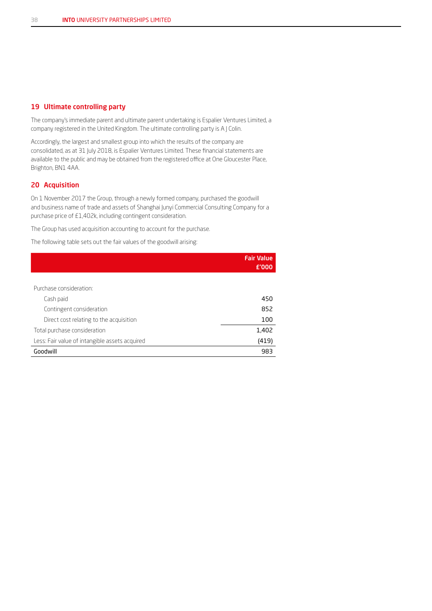#### 19 Ultimate controlling party

The company's immediate parent and ultimate parent undertaking is Espalier Ventures Limited, a company registered in the United Kingdom. The ultimate controlling party is A J Colin.

Accordingly, the largest and smallest group into which the results of the company are consolidated, as at 31 July 2018, is Espalier Ventures Limited. These financial statements are available to the public and may be obtained from the registered office at One Gloucester Place, Brighton, BN1 4AA.

#### 20 Acquisition

On 1 November 2017 the Group, through a newly formed company, purchased the goodwill and business name of trade and assets of Shanghai Junyi Commercial Consulting Company for a purchase price of £1,402k, including contingent consideration.

The Group has used acquisition accounting to account for the purchase.

The following table sets out the fair values of the goodwill arising:

|                                                | <b>Fair Value</b><br>£'000 |
|------------------------------------------------|----------------------------|
|                                                |                            |
| Purchase consideration:                        |                            |
| Cash paid                                      | 450                        |
| Contingent consideration                       | 852                        |
| Direct cost relating to the acquisition        | 100                        |
| Total purchase consideration                   | 1,402                      |
| Less: Fair value of intangible assets acquired | (419)                      |
| Goodwill                                       | 983                        |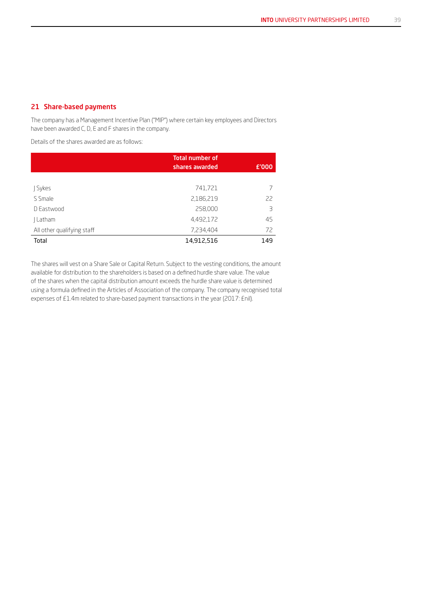#### 21 Share-based payments

The company has a Management Incentive Plan ("MIP") where certain key employees and Directors have been awarded C, D, E and F shares in the company.

Details of the shares awarded are as follows:

|                            | <b>Total number of</b><br>shares awarded | £'000 |
|----------------------------|------------------------------------------|-------|
|                            |                                          |       |
| J Sykes                    | 741,721                                  |       |
| S Smale                    | 2,186,219                                | 22    |
| D Fastwood                 | 258,000                                  | 3     |
| Latham                     | 4,492,172                                | 45    |
| All other qualifying staff | 7,234,404                                | 72    |
| Total                      | 14,912,516                               | 149   |

The shares will vest on a Share Sale or Capital Return. Subject to the vesting conditions, the amount available for distribution to the shareholders is based on a defined hurdle share value. The value of the shares when the capital distribution amount exceeds the hurdle share value is determined using a formula defined in the Articles of Association of the company. The company recognised total expenses of £1.4m related to share-based payment transactions in the year (2017: £nil).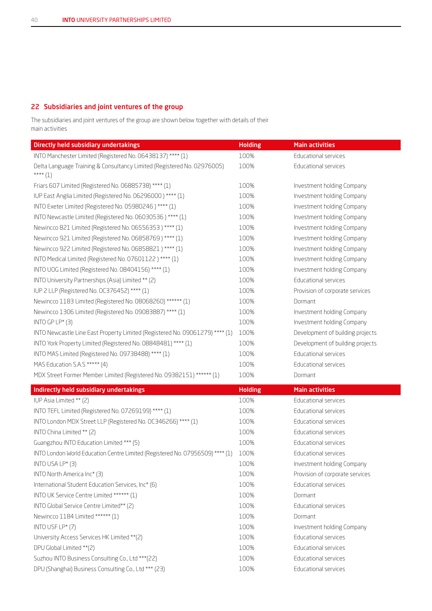#### 22 Subsidiaries and joint ventures of the group

The subsidiaries and joint ventures of the group are shown below together with details of their main activities

| Directly held subsidiary undertakings                                                 | <b>Holding</b> | <b>Main activities</b>           |
|---------------------------------------------------------------------------------------|----------------|----------------------------------|
| INTO Manchester Limited (Registered No. 06438137) **** (1)                            | 100%           | Educational services             |
| Delta Language Training & Consultancy Limited (Registered No. 02976005)<br>**** $(1)$ | 100%           | Educational services             |
| Friars 607 Limited (Registered No. 06885738) **** (1)                                 | 100%           | Investment holding Company       |
| IUP East Anglia Limited (Registered No. 06296000) **** (1)                            | 100%           | Investment holding Company       |
| INTO Exeter Limited (Registered No. 05980246) **** (1)                                | 100%           | Investment holding Company       |
| INTO Newcastle Limited (Registered No. 06030536) **** (1)                             | 100%           | Investment holding Company       |
| Newincco 821 Limited (Registered No. 06556353) **** (1)                               | 100%           | Investment holding Company       |
| Newincco 921 Limited (Registered No. 06858769) **** (1)                               | 100%           | Investment holding Company       |
| Newincco 922 Limited (Registered No. 06858821) **** (1)                               | 100%           | Investment holding Company       |
| INTO Medical Limited (Registered No. 07601122) **** (1)                               | 100%           | Investment holding Company       |
| INTO UOG Limited (Registered No. 08404156) **** (1)                                   | 100%           | Investment holding Company       |
| INTO University Partnerships (Asia) Limited ** (2)                                    | 100%           | Educational services             |
| IUP 2 LLP (Registered No. 0C376452) **** (1)                                          | 100%           | Provision of corporate services  |
| Newincco 1183 Limited (Registered No. 08068260) ****** (1)                            | 100%           | Dormant                          |
| Newincco 1306 Limited (Registered No. 09083887) **** (1)                              | 100%           | Investment holding Company       |
| INTO GP LP* $(3)$                                                                     | 100%           | Investment holding Company       |
| INTO Newcastle Line East Property Limited (Registered No. 09061279) **** (1)          | 100%           | Development of building projects |
| INTO York Property Limited (Registered No. 08848481) **** (1)                         | 100%           | Development of building projects |
| INTO MAS Limited (Registered No. 09738488) **** (1)                                   | 100%           | Educational services             |
| MAS Education S.A.S ***** (4)                                                         | 100%           | Educational services             |
| MDX Street Former Member Limited (Registered No. 09382151) ****** (1)                 | 100%           | Dormant                          |
| Indirectly held subsidiary undertakings                                               | <b>Holding</b> | <b>Main activities</b>           |
| IUP Asia Limited ** (2)                                                               | 100%           | <b>Educational services</b>      |
| INTO TEFL Limited (Registered No. 07269199) **** (1)                                  | 100%           | Educational services             |
| INTO London MDX Street LLP (Registered No. OC346266) **** (1)                         | 100%           | Educational services             |
| INTO China Limited ** (2)                                                             | 100%           | Educational services             |
| Guangzhou INTO Education Limited *** (5)                                              | 100%           | Educational services             |
| INTO London World Education Centre Limited (Registered No. 07956509) **** (1)         | 100%           | Educational services             |
| $(X \times I \cup \bigcup_{i=1}^{n}  I_i )$                                           | $1 \cap 0$     | Invoctmont holding Company       |

| <u>IINTO CONONI MONO COUCUNNI CENTRE CININGO (RESISTEIGO NO: O7 300003)</u> | TOO 20 | CUULDIUI IDI SEI VILES          |
|-----------------------------------------------------------------------------|--------|---------------------------------|
| INTO USA LP* $(3)$                                                          | 100%   | Investment holding Company      |
| INTO North America Inc $*(3)$                                               | 100%   | Provision of corporate services |
| International Student Education Services, Inc* (6)                          | 100%   | Educational services            |
| INTO UK Service Centre Limited ****** (1)                                   | 100%   | Dormant                         |
| INTO Global Service Centre Limited** (2)                                    | 100%   | Educational services            |
| Newincco 1184 Limited ****** (1)                                            | 100%   | Dormant                         |
| INTO USF $LP^*(7)$                                                          | 100%   | Investment holding Company      |
| University Access Services HK Limited ** (2)                                | 100%   | Educational services            |
| DPU Global Limited **(2)                                                    | 100%   | <b>Educational services</b>     |
| Suzhou INTO Business Consulting Co., Ltd *** (22)                           | 100%   | Educational services            |
| DPU (Shanghai) Business Consulting Co., Ltd *** (23)                        | 100%   | Educational services            |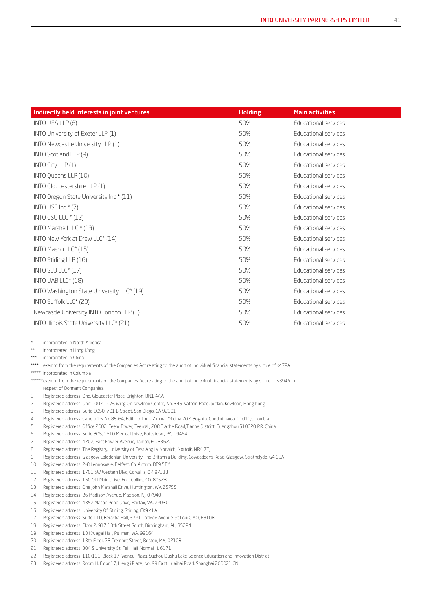| Indirectly held interests in joint ventures | <b>Holding</b> | <b>Main activities</b>      |  |
|---------------------------------------------|----------------|-----------------------------|--|
| INTO UEA LLP (8)                            | 50%            | <b>Educational services</b> |  |
| INTO University of Exeter LLP (1)           | 50%            | Educational services        |  |
| INTO Newcastle University LLP (1)           | 50%            | <b>Educational services</b> |  |
| INTO Scotland LLP (9)                       | 50%            | Educational services        |  |
| INTO City LLP $(1)$                         | 50%            | Educational services        |  |
| INTO Queens LLP (10)                        | 50%            | Educational services        |  |
| INTO Gloucestershire LLP (1)                | 50%            | <b>Educational services</b> |  |
| INTO Oregon State University Inc * (11)     | 50%            | <b>Educational services</b> |  |
| INTO USF Inc $*(7)$                         | 50%            | <b>Educational services</b> |  |
| INTO CSU LLC * (12)                         | 50%            | Educational services        |  |
| INTO Marshall LLC * (13)                    | 50%            | Educational services        |  |
| INTO New York at Drew LLC* (14)             | 50%            | Educational services        |  |
| INTO Mason LLC* (15)                        | 50%            | Educational services        |  |
| INTO Stirling LLP (16)                      | 50%            | Educational services        |  |
| INTO SLU LLC* (17)                          | 50%            | Educational services        |  |
| INTO UAB LLC* (18)                          | 50%            | Educational services        |  |
| INTO Washington State University LLC* (19)  | 50%            | Educational services        |  |
| INTO Suffolk LLC* (20)                      | 50%            | Educational services        |  |
| Newcastle University INTO London LLP (1)    | 50%            | Educational services        |  |
| INTO Illinois State University LLC* (21)    | 50%            | Educational services        |  |
|                                             |                |                             |  |

incorporated in North America

\*\* incorporated in Hong Kong

\*\*\* incorporated in China

\*\*\*\* exempt from the requirements of the Companies Act relating to the audit of individual financial statements by virtue of s479A

\*\*\*\*\* incorporated in Columbia

\*\*\*\*\*\* exempt from the requirements of the Companies Act relating to the audit of individual financial statements by virtue of s394A in respect of Dormant Companies.

1 Registered address: One, Gloucester Place, Brighton, BN1 4AA

- 2 Registered address: Unit 1007, 10/F, Wing On Kowloon Centre, No. 345 Nathan Road, Jordan, Kowloon, Hong Kong
- 3 Registered address: Suite 1050, 701 B Street, San Diego, CA 92101
- 4 Registered address: Carrera 15, No.88-64, Edificio Torre Zimma, Oficina 707, Bogota, Cundinimarca, 11011,Colombia
- 5 Registered address: Office 2002, Teem Tower, Teemall, 208 Tianhe Road,Tianhe District, Guangzhou,510620 P.R. China
- 6 Registered address: Suite 305, 1610 Medical Drive, Pottstown, PA, 19464
- 7 Registered address: 4202, East Fowler Avenue, Tampa, FL, 33620
- 8 Registered address: The Registry, University of East Anglia, Norwich, Norfolk, NR4 7TJ
- 9 Registered address: Glasgow Caledonian University The Britannia Building, Cowcaddens Road, Glasgow, Strathclyde, G4 0BA
- 10 Registered address: 2-8 Lennoxvale, Belfast, Co. Antrim, BT9 5BY
- 11 Registered address: 1701 SW Western Blvd, Corvallis, OR 97333
- 12 Registered address: 150 Old Main Drive, Fort Collins, CO, 80523
- 13 Registered address: One John Marshall Drive, Huntington, WV, 25755
- 14 Registered address: 26 Madison Avenue, Madison, NJ, 07940
- 15 Registered address: 4352 Mason Pond Drive, Fairfax, VA, 22030
- 16 Registered address: University Of Stirling, Stirling, FK9 4LA
- 17 Registered address: Suite 110, Beracha Hall, 3721 Laclede Avenue, St Louis, MO, 63108
- 18 Registered address: Floor 2, 917 13th Street South, Birmingham, AL, 35294
- 19 Registered address: 13 Kruegal Hall, Pullman, WA, 99164
- 20 Registered address: 13th Floor, 73 Tremont Street, Boston, MA, 02108
- 21 Registered address: 304 S University St, Fell Hall, Normal, IL 6171
- 22 Registered address: 110/111, Block 17, Wencui Plaza, Suzhou Dushu Lake Science Education and Innovation District
- 23 Registered address: Room H, Floor 17, Hengji Plaza, No. 99 East Huaihai Road, Shanghai 200021 CN